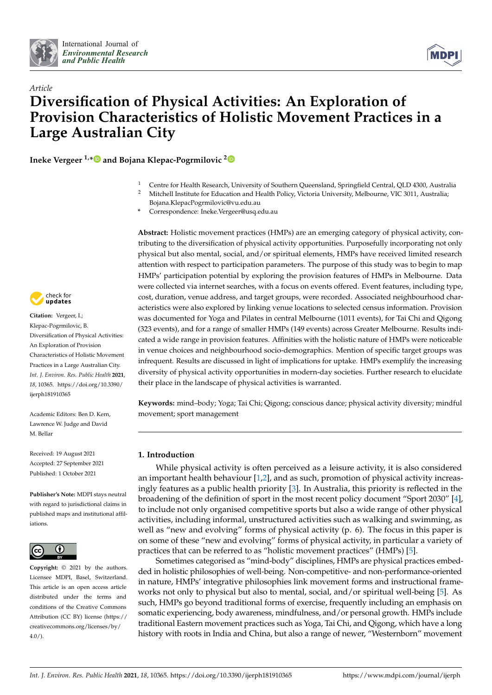



# *Article* **Diversification of Physical Activities: An Exploration of Provision Characteristics of Holistic Movement Practices in a Large Australian City**

**Ineke Vergeer 1,[\\*](https://orcid.org/0000-0002-6560-9023) and Bojana Klepac-Pogrmilovic [2](https://orcid.org/0000-0002-9141-1862)**

- <sup>1</sup> Centre for Health Research, University of Southern Queensland, Springfield Central, QLD 4300, Australia <sup>2</sup> Mitchell Institute for Education and Health Policy, Victoria University, Melbourne, VIC 3011, Australia;
	- Bojana.KlepacPogrmilovic@vu.edu.au
- **\*** Correspondence: Ineke.Vergeer@usq.edu.au

**Abstract:** Holistic movement practices (HMPs) are an emerging category of physical activity, contributing to the diversification of physical activity opportunities. Purposefully incorporating not only physical but also mental, social, and/or spiritual elements, HMPs have received limited research attention with respect to participation parameters. The purpose of this study was to begin to map HMPs' participation potential by exploring the provision features of HMPs in Melbourne. Data were collected via internet searches, with a focus on events offered. Event features, including type, cost, duration, venue address, and target groups, were recorded. Associated neighbourhood characteristics were also explored by linking venue locations to selected census information. Provision was documented for Yoga and Pilates in central Melbourne (1011 events), for Tai Chi and Qigong (323 events), and for a range of smaller HMPs (149 events) across Greater Melbourne. Results indicated a wide range in provision features. Affinities with the holistic nature of HMPs were noticeable in venue choices and neighbourhood socio-demographics. Mention of specific target groups was infrequent. Results are discussed in light of implications for uptake. HMPs exemplify the increasing diversity of physical activity opportunities in modern-day societies. Further research to elucidate their place in the landscape of physical activities is warranted.

**Keywords:** mind–body; Yoga; Tai Chi; Qigong; conscious dance; physical activity diversity; mindful movement; sport management

## **1. Introduction**

While physical activity is often perceived as a leisure activity, it is also considered an important health behaviour [\[1](#page-16-0)[,2\]](#page-16-1), and as such, promotion of physical activity increasingly features as a public health priority [\[3\]](#page-16-2). In Australia, this priority is reflected in the broadening of the definition of sport in the most recent policy document "Sport 2030" [\[4\]](#page-16-3), to include not only organised competitive sports but also a wide range of other physical activities, including informal, unstructured activities such as walking and swimming, as well as "new and evolving" forms of physical activity (p. 6). The focus in this paper is on some of these "new and evolving" forms of physical activity, in particular a variety of practices that can be referred to as "holistic movement practices" (HMPs) [\[5\]](#page-16-4).

Sometimes categorised as "mind-body" disciplines, HMPs are physical practices embedded in holistic philosophies of well-being. Non-competitive- and non-performance-oriented in nature, HMPs' integrative philosophies link movement forms and instructional frameworks not only to physical but also to mental, social, and/or spiritual well-being [\[5\]](#page-16-4). As such, HMPs go beyond traditional forms of exercise, frequently including an emphasis on somatic experiencing, body awareness, mindfulness, and/or personal growth. HMPs include traditional Eastern movement practices such as Yoga, Tai Chi, and Qigong, which have a long history with roots in India and China, but also a range of newer, "Westernborn" movement



**Citation:** Vergeer, I.; Klepac-Pogrmilovic, B. Diversification of Physical Activities: An Exploration of Provision Characteristics of Holistic Movement Practices in a Large Australian City. *Int. J. Environ. Res. Public Health* **2021**, *18*, 10365. [https://doi.org/10.3390/](https://doi.org/10.3390/ijerph181910365) [ijerph181910365](https://doi.org/10.3390/ijerph181910365)

Academic Editors: Ben D. Kern, Lawrence W. Judge and David M. Bellar

Received: 19 August 2021 Accepted: 27 September 2021 Published: 1 October 2021

**Publisher's Note:** MDPI stays neutral with regard to jurisdictional claims in published maps and institutional affiliations.



**Copyright:** © 2021 by the authors. Licensee MDPI, Basel, Switzerland. This article is an open access article distributed under the terms and conditions of the Creative Commons Attribution (CC BY) license (https:/[/](https://creativecommons.org/licenses/by/4.0/) [creativecommons.org/licenses/by/](https://creativecommons.org/licenses/by/4.0/)  $4.0/$ ).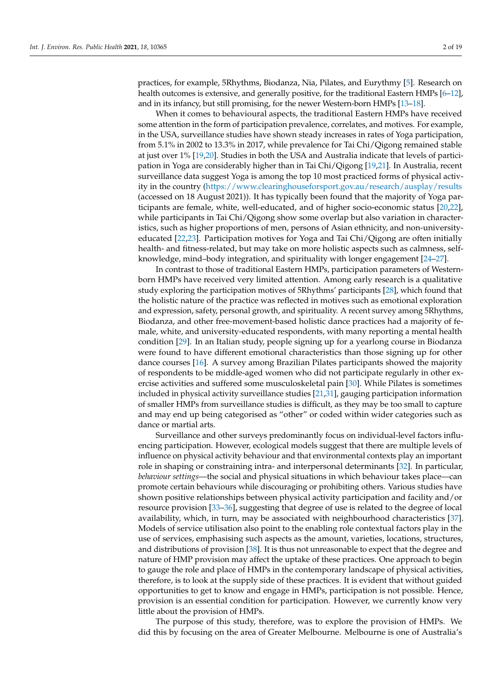practices, for example, 5Rhythms, Biodanza, Nia, Pilates, and Eurythmy [\[5\]](#page-16-4). Research on health outcomes is extensive, and generally positive, for the traditional Eastern HMPs [\[6](#page-16-5)[–12\]](#page-16-6), and in its infancy, but still promising, for the newer Western-born HMPs [\[13](#page-16-7)[–18\]](#page-17-0).

When it comes to behavioural aspects, the traditional Eastern HMPs have received some attention in the form of participation prevalence, correlates, and motives. For example, in the USA, surveillance studies have shown steady increases in rates of Yoga participation, from 5.1% in 2002 to 13.3% in 2017, while prevalence for Tai Chi/Qigong remained stable at just over 1% [\[19](#page-17-1)[,20\]](#page-17-2). Studies in both the USA and Australia indicate that levels of participation in Yoga are considerably higher than in Tai Chi/Qigong [\[19](#page-17-1)[,21\]](#page-17-3). In Australia, recent surveillance data suggest Yoga is among the top 10 most practiced forms of physical activity in the country [\(https://www.clearinghouseforsport.gov.au/research/ausplay/results](https://www.clearinghouseforsport.gov.au/research/ausplay/results) (accessed on 18 August 2021)). It has typically been found that the majority of Yoga participants are female, white, well-educated, and of higher socio-economic status [\[20,](#page-17-2)[22\]](#page-17-4), while participants in Tai Chi/Qigong show some overlap but also variation in characteristics, such as higher proportions of men, persons of Asian ethnicity, and non-universityeducated [\[22,](#page-17-4)[23\]](#page-17-5). Participation motives for Yoga and Tai Chi/Qigong are often initially health- and fitness-related, but may take on more holistic aspects such as calmness, selfknowledge, mind–body integration, and spirituality with longer engagement [\[24–](#page-17-6)[27\]](#page-17-7).

In contrast to those of traditional Eastern HMPs, participation parameters of Westernborn HMPs have received very limited attention. Among early research is a qualitative study exploring the participation motives of 5Rhythms' participants [\[28\]](#page-17-8), which found that the holistic nature of the practice was reflected in motives such as emotional exploration and expression, safety, personal growth, and spirituality. A recent survey among 5Rhythms, Biodanza, and other free-movement-based holistic dance practices had a majority of female, white, and university-educated respondents, with many reporting a mental health condition [\[29\]](#page-17-9). In an Italian study, people signing up for a yearlong course in Biodanza were found to have different emotional characteristics than those signing up for other dance courses [\[16\]](#page-16-8). A survey among Brazilian Pilates participants showed the majority of respondents to be middle-aged women who did not participate regularly in other exercise activities and suffered some musculoskeletal pain [\[30\]](#page-17-10). While Pilates is sometimes included in physical activity surveillance studies [\[21](#page-17-3)[,31\]](#page-17-11), gauging participation information of smaller HMPs from surveillance studies is difficult, as they may be too small to capture and may end up being categorised as "other" or coded within wider categories such as dance or martial arts.

Surveillance and other surveys predominantly focus on individual-level factors influencing participation. However, ecological models suggest that there are multiple levels of influence on physical activity behaviour and that environmental contexts play an important role in shaping or constraining intra- and interpersonal determinants [\[32\]](#page-17-12). In particular, *behaviour settings*—the social and physical situations in which behaviour takes place—can promote certain behaviours while discouraging or prohibiting others. Various studies have shown positive relationships between physical activity participation and facility and/or resource provision [\[33](#page-17-13)[–36\]](#page-17-14), suggesting that degree of use is related to the degree of local availability, which, in turn, may be associated with neighbourhood characteristics [\[37\]](#page-17-15). Models of service utilisation also point to the enabling role contextual factors play in the use of services, emphasising such aspects as the amount, varieties, locations, structures, and distributions of provision [\[38\]](#page-17-16). It is thus not unreasonable to expect that the degree and nature of HMP provision may affect the uptake of these practices. One approach to begin to gauge the role and place of HMPs in the contemporary landscape of physical activities, therefore, is to look at the supply side of these practices. It is evident that without guided opportunities to get to know and engage in HMPs, participation is not possible. Hence, provision is an essential condition for participation. However, we currently know very little about the provision of HMPs.

The purpose of this study, therefore, was to explore the provision of HMPs. We did this by focusing on the area of Greater Melbourne. Melbourne is one of Australia's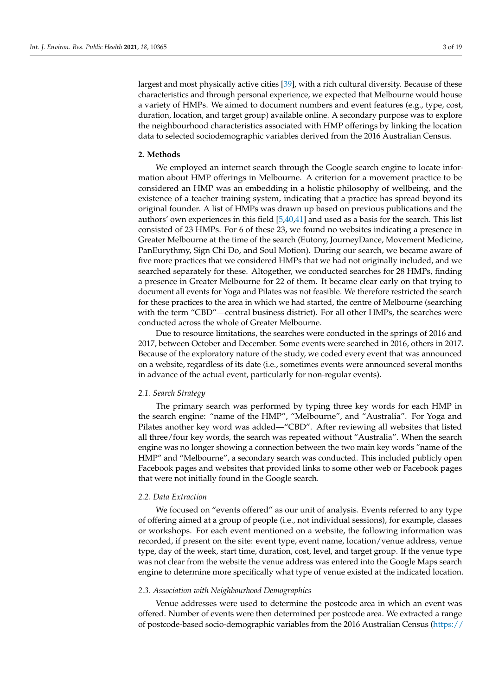largest and most physically active cities [\[39\]](#page-17-17), with a rich cultural diversity. Because of these characteristics and through personal experience, we expected that Melbourne would house a variety of HMPs. We aimed to document numbers and event features (e.g., type, cost, duration, location, and target group) available online. A secondary purpose was to explore the neighbourhood characteristics associated with HMP offerings by linking the location data to selected sociodemographic variables derived from the 2016 Australian Census.

## **2. Methods**

We employed an internet search through the Google search engine to locate information about HMP offerings in Melbourne. A criterion for a movement practice to be considered an HMP was an embedding in a holistic philosophy of wellbeing, and the existence of a teacher training system, indicating that a practice has spread beyond its original founder. A list of HMPs was drawn up based on previous publications and the authors' own experiences in this field [\[5](#page-16-4)[,40](#page-17-18)[,41\]](#page-17-19) and used as a basis for the search. This list consisted of 23 HMPs. For 6 of these 23, we found no websites indicating a presence in Greater Melbourne at the time of the search (Eutony, JourneyDance, Movement Medicine, PanEurythmy, Sign Chi Do, and Soul Motion). During our search, we became aware of five more practices that we considered HMPs that we had not originally included, and we searched separately for these. Altogether, we conducted searches for 28 HMPs, finding a presence in Greater Melbourne for 22 of them. It became clear early on that trying to document all events for Yoga and Pilates was not feasible. We therefore restricted the search for these practices to the area in which we had started, the centre of Melbourne (searching with the term "CBD"—central business district). For all other HMPs, the searches were conducted across the whole of Greater Melbourne.

Due to resource limitations, the searches were conducted in the springs of 2016 and 2017, between October and December. Some events were searched in 2016, others in 2017. Because of the exploratory nature of the study, we coded every event that was announced on a website, regardless of its date (i.e., sometimes events were announced several months in advance of the actual event, particularly for non-regular events).

## *2.1. Search Strategy*

The primary search was performed by typing three key words for each HMP in the search engine: "name of the HMP", "Melbourne", and "Australia". For Yoga and Pilates another key word was added—"CBD". After reviewing all websites that listed all three/four key words, the search was repeated without "Australia". When the search engine was no longer showing a connection between the two main key words "name of the HMP" and "Melbourne", a secondary search was conducted. This included publicly open Facebook pages and websites that provided links to some other web or Facebook pages that were not initially found in the Google search.

#### *2.2. Data Extraction*

We focused on "events offered" as our unit of analysis. Events referred to any type of offering aimed at a group of people (i.e., not individual sessions), for example, classes or workshops. For each event mentioned on a website, the following information was recorded, if present on the site: event type, event name, location/venue address, venue type, day of the week, start time, duration, cost, level, and target group. If the venue type was not clear from the website the venue address was entered into the Google Maps search engine to determine more specifically what type of venue existed at the indicated location.

## *2.3. Association with Neighbourhood Demographics*

Venue addresses were used to determine the postcode area in which an event was offered. Number of events were then determined per postcode area. We extracted a range of postcode-based socio-demographic variables from the 2016 Australian Census [\(https://](https://datapacks.censusdata.abs.gov.au/datapacks/)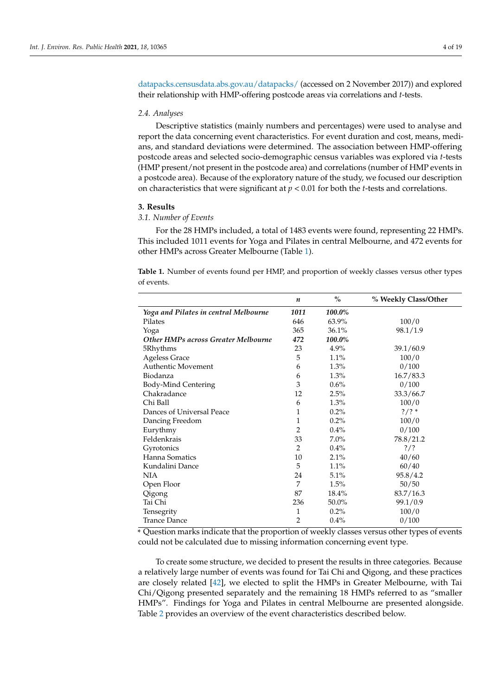[datapacks.censusdata.abs.gov.au/datapacks/](https://datapacks.censusdata.abs.gov.au/datapacks/) (accessed on 2 November 2017)) and explored their relationship with HMP-offering postcode areas via correlations and *t*-tests.

## *2.4. Analyses*

Descriptive statistics (mainly numbers and percentages) were used to analyse and report the data concerning event characteristics. For event duration and cost, means, medians, and standard deviations were determined. The association between HMP-offering postcode areas and selected socio-demographic census variables was explored via *t*-tests (HMP present/not present in the postcode area) and correlations (number of HMP events in a postcode area). Because of the exploratory nature of the study, we focused our description on characteristics that were significant at *p* < 0.01 for both the *t*-tests and correlations.

## **3. Results**

## *3.1. Number of Events*

For the 28 HMPs included, a total of 1483 events were found, representing 22 HMPs. This included 1011 events for Yoga and Pilates in central Melbourne, and 472 events for other HMPs across Greater Melbourne (Table [1\)](#page-3-0).

<span id="page-3-0"></span>**Table 1.** Number of events found per HMP, and proportion of weekly classes versus other types of events.

|                                            | n              | $\frac{0}{0}$ | % Weekly Class/Other |
|--------------------------------------------|----------------|---------------|----------------------|
| Yoga and Pilates in central Melbourne      | 1011           | 100.0%        |                      |
| Pilates                                    | 646            | 63.9%         | 100/0                |
| Yoga                                       | 365            | 36.1%         | 98.1/1.9             |
| <b>Other HMPs across Greater Melbourne</b> | 472            | 100.0%        |                      |
| 5Rhythms                                   | 23             | 4.9%          | 39.1/60.9            |
| <b>Ageless Grace</b>                       | 5              | 1.1%          | 100/0                |
| Authentic Movement                         | 6              | $1.3\%$       | 0/100                |
| Biodanza                                   | 6              | $1.3\%$       | 16.7/83.3            |
| Body-Mind Centering                        | 3              | $0.6\%$       | 0/100                |
| Chakradance                                | 12             | 2.5%          | 33.3/66.7            |
| Chi Ball                                   | 6              | 1.3%          | 100/0                |
| Dances of Universal Peace                  | 1              | 0.2%          | $?$ /? *             |
| Dancing Freedom                            | 1              | 0.2%          | 100/0                |
| Eurythmy                                   | $\overline{2}$ | 0.4%          | 0/100                |
| Feldenkrais                                | 33             | $7.0\%$       | 78.8/21.2            |
| Gyrotonics                                 | $\overline{2}$ | 0.4%          | $?$ /?               |
| Hanna Somatics                             | 10             | 2.1%          | 40/60                |
| Kundalini Dance                            | 5              | 1.1%          | 60/40                |
| <b>NIA</b>                                 | 24             | 5.1%          | 95.8 / 4.2           |
| Open Floor                                 | 7              | 1.5%          | 50/50                |
| Qigong                                     | 87             | 18.4%         | 83.7/16.3            |
| Tai Chi                                    | 236            | 50.0%         | 99.1/0.9             |
| Tensegrity                                 | 1              | 0.2%          | 100/0                |
| <b>Trance Dance</b>                        | 2              | 0.4%          | 0/100                |

\* Question marks indicate that the proportion of weekly classes versus other types of events could not be calculated due to missing information concerning event type.

To create some structure, we decided to present the results in three categories. Because a relatively large number of events was found for Tai Chi and Qigong, and these practices are closely related [\[42\]](#page-17-20), we elected to split the HMPs in Greater Melbourne, with Tai Chi/Qigong presented separately and the remaining 18 HMPs referred to as "smaller HMPs". Findings for Yoga and Pilates in central Melbourne are presented alongside. Table [2](#page-5-0) provides an overview of the event characteristics described below.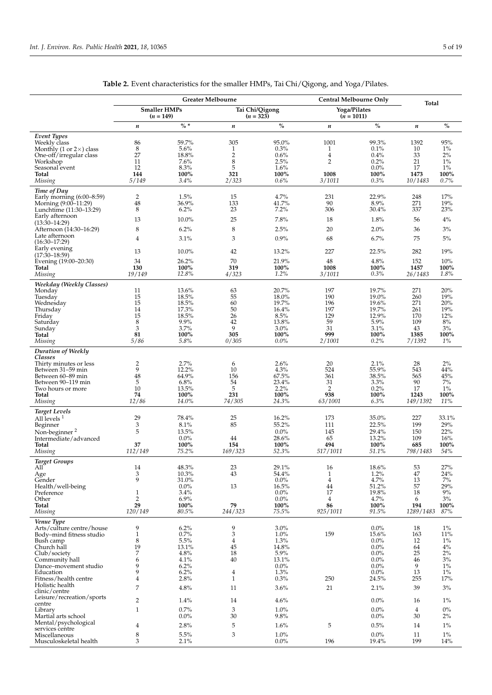|                                                                                               |                                    |                        | <b>Greater Melbourne</b>          |                       | Central Melbourne Only       |                        | Total             |                    |
|-----------------------------------------------------------------------------------------------|------------------------------------|------------------------|-----------------------------------|-----------------------|------------------------------|------------------------|-------------------|--------------------|
|                                                                                               | <b>Smaller HMPs</b><br>$(n = 149)$ |                        | Tai Chi/Qigong<br>$(n = 323)$     |                       | Yoga/Pilates<br>$(n = 1011)$ |                        |                   |                    |
|                                                                                               | $\boldsymbol{n}$                   | $\% *$                 | n                                 | $\%$                  | $\boldsymbol{n}$             | $\%$                   | $\boldsymbol{n}$  | $\%$               |
| Event Types<br>Weekly class<br>Monthly (1 or $2\times$ ) class<br>One-off/irregular class     | 86<br>8<br>27                      | 59.7%<br>5.6%<br>18.8% | 305<br>$\mathbf{1}$<br>$\sqrt{2}$ | 95.0%<br>0.3%<br>0.6% | 1001<br>1<br>$\overline{4}$  | 99.3%<br>0.1%<br>0.4%  | 1392<br>10<br>33  | 95%<br>$1\%$<br>2% |
| Workshop<br>Seasonal event                                                                    | 11<br>12                           | 7.6%<br>8.3%           | 8<br>5                            | 2.5%<br>1.6%          | $\overline{2}$               | 0.2%<br>$0.0\%$        | 21<br>17          | $1\%$<br>$1\%$     |
| <b>Total</b><br>Missing                                                                       | 144<br>5/149                       | 100%<br>3.4%           | 321<br>2/323                      | 100%<br>0.6%          | 1008<br>3/1011               | 100%<br>0.3%           | 1473<br>10/1483   | 100%<br>0.7%       |
| Time of Day<br>Early morning $(6:00-8:59)$<br>Morning (9:00–11:29)<br>Lunchtime (11:30-13:29) | $\overline{2}$<br>48<br>8          | 1.5%<br>36.9%<br>6.2%  | 15<br>133<br>23                   | 4.7%<br>41.7%<br>7.2% | 231<br>90<br>306             | 22.9%<br>8.9%<br>30.4% | 248<br>271<br>337 | 17%<br>19%<br>23%  |
| Early afternoon<br>$(13:30-14:29)$                                                            | 13                                 | 10.0%                  | 25                                | 7.8%                  | 18                           | 1.8%                   | 56                | $4\%$              |
| Afternoon (14:30–16:29)<br>Late afternoon                                                     | 8                                  | 6.2%                   | 8                                 | 2.5%                  | 20                           | 2.0%                   | 36                | 3%                 |
| $(16:30-17:29)$<br>Early evening                                                              | $\overline{4}$<br>13               | 3.1%<br>10.0%          | 3                                 | 0.9%                  | 68<br>227                    | 6.7%<br>22.5%          | 75<br>282         | $5\%$<br>19%       |
| $(17:30-18:59)$                                                                               | 34                                 | 26.2%                  | 42<br>70                          | 13.2%<br>21.9%        | 48                           | 4.8%                   | 152               | 10%                |
| Evening (19:00-20:30)<br>Total<br>Missing                                                     | 130<br>19/149                      | 100%<br>12.8%          | 319<br>4/323                      | 100%<br>1.2%          | 1008<br>3/1011               | 100%<br>0.3%           | 1457<br>26/1483   | 100%<br>1.8%       |
| Weekday (Weekly Classes)<br>Monday                                                            | 11                                 | 13.6%                  | 63                                | 20.7%                 | 197                          | 19.7%                  | 271               | 20%                |
| Tuesday<br>Wednesday                                                                          | 15<br>15                           | 18.5%<br>18.5%         | 55<br>60                          | 18.0%<br>19.7%        | 190<br>196                   | 19.0%<br>19.6%         | 260<br>271        | 19%<br>20%         |
| Thursday                                                                                      | 14                                 | 17.3%                  | 50                                | 16.4%                 | 197                          | 19.7%                  | 261               | 19%                |
| Friday<br>Saturday                                                                            | 15<br>8                            | 18.5%<br>9.9%          | 26<br>42                          | 8.5%<br>13.8%         | 129<br>59                    | 12.9%<br>5.9%          | 170<br>109        | 12%<br>8%          |
| Sunday<br>Total                                                                               | 3<br>81                            | 3.7%<br>100%           | 9<br>305                          | 3.0%<br>100%          | 31<br>999                    | 3.1%<br>100%           | 43<br>1385        | 3%<br>100%         |
| Missing                                                                                       | 5/86                               | 5.8%                   | 0/305                             | $0.0\%$               | 2/1001                       | 0.2%                   | 7/1392            | $1\%$              |
| Duration of Weekly<br>Classes<br>Thirty minutes or less                                       | $\overline{2}$                     | 2.7%                   | 6                                 | 2.6%                  | 20                           | 2.1%                   | 28                | 2%                 |
| Between 31-59 min                                                                             | 9                                  | 12.2%                  | 10                                | 4.3%                  | 524                          | 55.9%                  | 543               | 44%                |
| Between 60-89 min<br>Between 90–119 min                                                       | 48<br>5                            | 64.9%<br>6.8%          | 156<br>54                         | 67.5%<br>23.4%        | 361<br>31                    | 38.5%<br>3.3%          | 565<br>90         | 45%<br>$7\%$       |
| Two hours or more                                                                             | 10                                 | 13.5%                  | 5                                 | 2.2%                  | 2                            | 0.2%                   | 17                | $1\%$              |
| Total<br>Missing                                                                              | 74<br>12/86                        | 100%<br>14.0%          | 231<br>74/305                     | 100%<br>24.3%         | 938<br>63/1001               | 100%<br>6.3%           | 1243<br>149/1392  | 100%<br>11%        |
| <b>Target Levels</b>                                                                          | 29                                 | 78.4%                  | 25                                | 16.2%                 | 173                          | 35.0%                  | 227               | 33.1%              |
| All levels <sup>1</sup><br>Beginner                                                           | 3                                  | 8.1%                   | 85                                | 55.2%                 | 111                          | 22.5%                  | 199               | 29%                |
| Non-beginner <sup>2</sup>                                                                     | 5                                  | $13.5\%$               |                                   | $0.0\%$               | 145<br>65                    | 29.4%                  | 150<br>109        | 22%                |
| Intermediate/advanced<br>Total                                                                | 37                                 | 0.0%<br>100%           | 44<br>154                         | 28.6%<br>100%         | 494                          | 13.2%<br>100%          | 685               | 16%<br>100%        |
| Missing                                                                                       | 112/149                            | 75.2%                  | 169/323                           | 52.3%                 | 517/1011                     | 51.1%                  | 798/1483          | 54%                |
| <b>Target Groups</b><br>АШ<br>Age                                                             | 14<br>3                            | $48.3\%$<br>$10.3\%$   | 23<br>43                          | 29.1%<br>54.4%        | 16<br>$\mathbf{1}$           | $18.6\%$<br>1.2%       | 53<br>$47\,$      | $27\%$<br>24%      |
| Gender<br>Health/well-being                                                                   | 9                                  | 31.0%<br>$0.0\%$       | 13                                | $0.0\%$<br>16.5%      | 4<br>44                      | 4.7%<br>51.2%          | 13<br>57          | $7\%$<br>29%       |
| Preference                                                                                    | $\mathbf{1}$                       | 3.4%                   |                                   | $0.0\%$               | 17                           | 19.8%                  | 18                | $9\%$              |
| Other<br>Total                                                                                | $\overline{2}$<br>29               | 6.9%<br>100%           | 79                                | $0.0\%$<br>100%       | $\overline{4}$<br>86         | 4.7%<br>100%           | 6<br>194          | $3\%$<br>100%      |
| Missing                                                                                       | 120/149                            | 80.5%                  | 244/323                           | 75.5%                 | 925/1011                     | 91.5%                  | 1289/1483         | 87%                |
| Venue Type<br>Arts/culture centre/house                                                       | 9                                  | 6.2%                   | 9                                 | 3.0%                  |                              | 0.0%                   | 18                | $1\%$              |
| Body-mind fitness studio                                                                      | $\mathbf{1}$<br>$\,8\,$            | 0.7%<br>5.5%           | 3<br>$\overline{4}$               | $1.0\%$<br>1.3%       | 159                          | 15.6%<br>$0.0\%$       | 163<br>12         | 11%<br>$1\%$       |
| Bush camp<br>Church hall                                                                      | 19                                 | 13.1%                  | 45                                | 14.8%                 |                              | $0.0\%$                | 64                | $4\%$              |
| Club/society<br>Community hall                                                                | $\overline{7}$<br>6                | 4.8%<br>4.1%           | 18<br>40                          | 5.9%<br>13.1%         |                              | $0.0\%$<br>$0.0\%$     | 25<br>46          | $2\%$<br>3%        |
| Dance-movement studio                                                                         | 9                                  | 6.2%                   |                                   | $0.0\%$               |                              | 0.0%                   | 9                 | $1\%$              |
| Education<br>Fitness/health centre                                                            | 9<br>$\overline{4}$                | 6.2%<br>2.8%           | 4<br>$\mathbf{1}$                 | 1.3%<br>0.3%          | 250                          | $0.0\%$<br>24.5%       | 13<br>255         | $1\%$<br>17%       |
| Holistic health<br>clinic/centre                                                              | $\overline{7}$                     | 4.8%                   | 11                                | 3.6%                  | 21                           | 2.1%                   | 39                | $3\%$              |
| Leisure/recreation/sports<br>centre                                                           | $\overline{2}$                     | 1.4%                   | 14                                | 4.6%                  |                              | $0.0\%$                | 16                | $1\%$              |
| Library                                                                                       | $\mathbf{1}$                       | 0.7%                   | 3<br>$30\,$                       | $1.0\%$               |                              | 0.0%                   | $\overline{4}$    | $0\%$              |
| Martial arts school<br>Mental/psychological                                                   | 4                                  | $0.0\%$<br>2.8%        | 5                                 | 9.8%<br>1.6%          | 5                            | $0.0\%$<br>0.5%        | 30<br>14          | 2%<br>$1\%$        |
| services centre<br>Miscellaneous                                                              | $\,$ 8 $\,$                        | 5.5%                   | 3                                 | $1.0\%$               |                              | 0.0%                   | 11                | $1\%$              |
| Musculoskeletal health                                                                        | 3                                  | 2.1%                   |                                   | $0.0\%$               | 196                          | 19.4%                  | 199               | 14%                |

**Table 2.** Event characteristics for the smaller HMPs, Tai Chi/Qigong, and Yoga/Pilates.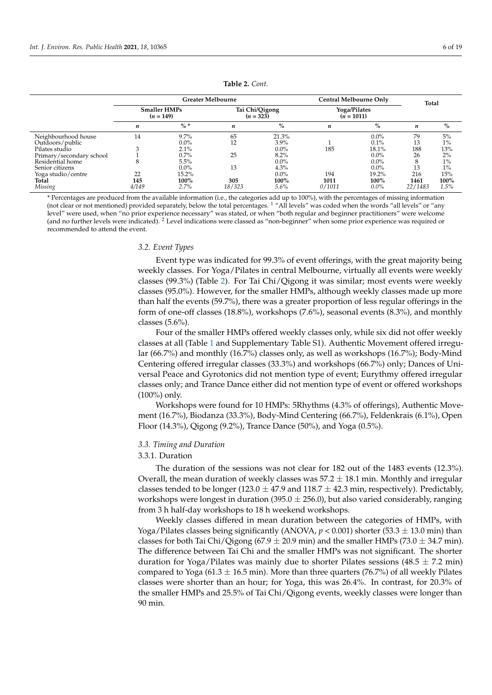<span id="page-5-0"></span>

|                                        |                    |                                    | <b>Greater Melbourne</b> | Central Melbourne Only     | <b>Total</b>                 |                          |                        |                     |
|----------------------------------------|--------------------|------------------------------------|--------------------------|----------------------------|------------------------------|--------------------------|------------------------|---------------------|
|                                        |                    | <b>Smaller HMPs</b><br>$(n = 149)$ | $(n = 323)$              | Tai Chi/Qigong             | Yoga/Pilates<br>$(n = 1011)$ |                          |                        |                     |
|                                        | n                  | $\% *$                             | n                        | $\%$                       | $\boldsymbol{n}$             | $\%$                     | n                      | $\%$                |
| Neighbourhood house<br>Outdoors/public | 14                 | 9.7%<br>$0.0\%$                    | 65<br>12                 | 21.3%<br>$3.9\%$           |                              | $0.0\%$<br>0.1%          | 79<br>13               | 5%<br>$1\%$         |
| Pilates studio                         | 3                  | 2.1%                               |                          | $0.0\%$                    | 185                          | 18.1%                    | 188                    | 13%                 |
| Primary/secondary school               |                    | 0.7%                               | 25                       | 8.2%                       |                              | $0.0\%$                  | 26                     | 2%                  |
| Residential home                       | 8                  | 5.5%                               |                          | $0.0\%$                    |                              | $0.0\%$                  | ົ                      | $1\%$               |
| Senior citizens                        |                    | $0.0\%$                            | 13                       | 4.3%                       |                              | $0.0\%$                  | 13                     | $1\%$               |
| Yoga studio/centre<br>Total<br>Missing | 22<br>145<br>4/149 | 15.2%<br>100%<br>2.7%              | 305<br>18/323            | $0.0\%$<br>100%<br>$5.6\%$ | 194<br>1011<br>0/1011        | 19.2%<br>100%<br>$0.0\%$ | 216<br>1461<br>22/1483 | 15%<br>100%<br>1.5% |

#### **Table 2.** *Cont.*

\* Percentages are produced from the available information (i.e., the categories add up to 100%), with the percentages of missing information (not clear or not mentioned) provided separately, below the total percentages. <sup>1</sup> "All levels" was coded when the words "all levels" or "any level" were used, when "no prior experience necessary" was stated, or when "both regular and beginner practitioners" were welcome (and no further levels were indicated). <sup>2</sup> Level indications were classed as "non-beginner" when some prior experience was required or recommended to attend the event.

## *3.2. Event Types*

Event type was indicated for 99.3% of event offerings, with the great majority being weekly classes. For Yoga/Pilates in central Melbourne, virtually all events were weekly classes (99.3%) (Table [2\)](#page-5-0). For Tai Chi/Qigong it was similar; most events were weekly classes (95.0%). However, for the smaller HMPs, although weekly classes made up more than half the events (59.7%), there was a greater proportion of less regular offerings in the form of one-off classes (18.8%), workshops (7.6%), seasonal events (8.3%), and monthly classes (5.6%).

Four of the smaller HMPs offered weekly classes only, while six did not offer weekly classes at all (Table [1](#page-3-0) and Supplementary Table S1). Authentic Movement offered irregular (66.7%) and monthly (16.7%) classes only, as well as workshops (16.7%); Body-Mind Centering offered irregular classes (33.3%) and workshops (66.7%) only; Dances of Universal Peace and Gyrotonics did not mention type of event; Eurythmy offered irregular classes only; and Trance Dance either did not mention type of event or offered workshops (100%) only.

Workshops were found for 10 HMPs: 5Rhythms (4.3% of offerings), Authentic Movement (16.7%), Biodanza (33.3%), Body-Mind Centering (66.7%), Feldenkrais (6.1%), Open Floor (14.3%), Qigong (9.2%), Trance Dance (50%), and Yoga (0.5%).

## *3.3. Timing and Duration*

#### 3.3.1. Duration

The duration of the sessions was not clear for 182 out of the 1483 events (12.3%). Overall, the mean duration of weekly classes was  $57.2 \pm 18.1$  min. Monthly and irregular classes tended to be longer (123.0  $\pm$  47.9 and 118.7  $\pm$  42.3 min, respectively). Predictably, workshops were longest in duration (395.0  $\pm$  256.0), but also varied considerably, ranging from 3 h half-day workshops to 18 h weekend workshops.

Weekly classes differed in mean duration between the categories of HMPs, with Yoga/Pilates classes being significantly (ANOVA,  $p < 0.001$ ) shorter (53.3  $\pm$  13.0 min) than classes for both Tai Chi/Qigong (67.9  $\pm$  20.9 min) and the smaller HMPs (73.0  $\pm$  34.7 min). The difference between Tai Chi and the smaller HMPs was not significant. The shorter duration for Yoga/Pilates was mainly due to shorter Pilates sessions  $(48.5 \pm 7.2 \text{ min})$ compared to Yoga (61.3  $\pm$  16.5 min). More than three quarters (76.7%) of all weekly Pilates classes were shorter than an hour; for Yoga, this was 26.4%. In contrast, for 20.3% of the smaller HMPs and 25.5% of Tai Chi/Qigong events, weekly classes were longer than 90 min.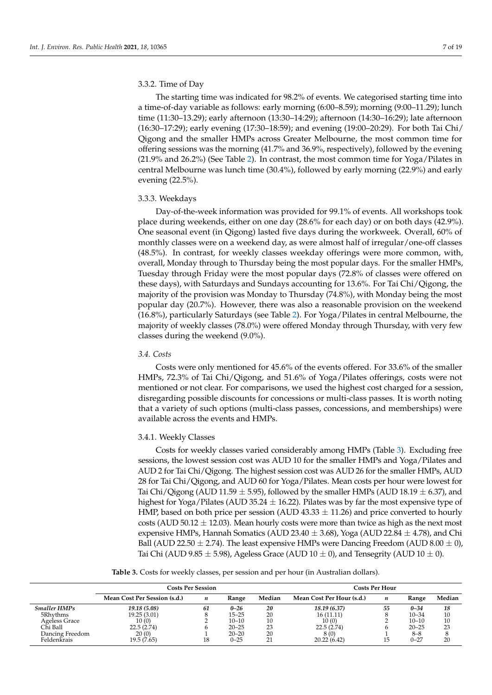## 3.3.2. Time of Day

The starting time was indicated for 98.2% of events. We categorised starting time into a time-of-day variable as follows: early morning (6:00–8.59); morning (9:00–11.29); lunch time (11:30–13.29); early afternoon (13:30–14:29); afternoon (14:30–16:29); late afternoon (16:30–17:29); early evening (17:30–18:59); and evening (19:00–20:29). For both Tai Chi/ Qigong and the smaller HMPs across Greater Melbourne, the most common time for offering sessions was the morning (41.7% and 36.9%, respectively), followed by the evening (21.9% and 26.2%) (See Table [2\)](#page-5-0). In contrast, the most common time for Yoga/Pilates in central Melbourne was lunch time (30.4%), followed by early morning (22.9%) and early evening (22.5%).

## 3.3.3. Weekdays

Day-of-the-week information was provided for 99.1% of events. All workshops took place during weekends, either on one day (28.6% for each day) or on both days (42.9%). One seasonal event (in Qigong) lasted five days during the workweek. Overall, 60% of monthly classes were on a weekend day, as were almost half of irregular/one-off classes (48.5%). In contrast, for weekly classes weekday offerings were more common, with, overall, Monday through to Thursday being the most popular days. For the smaller HMPs, Tuesday through Friday were the most popular days (72.8% of classes were offered on these days), with Saturdays and Sundays accounting for 13.6%. For Tai Chi/Qigong, the majority of the provision was Monday to Thursday (74.8%), with Monday being the most popular day (20.7%). However, there was also a reasonable provision on the weekend (16.8%), particularly Saturdays (see Table [2\)](#page-5-0). For Yoga/Pilates in central Melbourne, the majority of weekly classes (78.0%) were offered Monday through Thursday, with very few classes during the weekend (9.0%).

## *3.4. Costs*

Costs were only mentioned for 45.6% of the events offered. For 33.6% of the smaller HMPs, 72.3% of Tai Chi/Qigong, and 51.6% of Yoga/Pilates offerings, costs were not mentioned or not clear. For comparisons, we used the highest cost charged for a session, disregarding possible discounts for concessions or multi-class passes. It is worth noting that a variety of such options (multi-class passes, concessions, and memberships) were available across the events and HMPs.

## 3.4.1. Weekly Classes

Costs for weekly classes varied considerably among HMPs (Table [3\)](#page-7-0). Excluding free sessions, the lowest session cost was AUD 10 for the smaller HMPs and Yoga/Pilates and AUD 2 for Tai Chi/Qigong. The highest session cost was AUD 26 for the smaller HMPs, AUD 28 for Tai Chi/Qigong, and AUD 60 for Yoga/Pilates. Mean costs per hour were lowest for Tai Chi/Qigong (AUD 11.59  $\pm$  5.95), followed by the smaller HMPs (AUD 18.19  $\pm$  6.37), and highest for Yoga/Pilates (AUD 35.24  $\pm$  16.22). Pilates was by far the most expensive type of HMP, based on both price per session (AUD  $43.33 \pm 11.26$ ) and price converted to hourly costs (AUD 50.12  $\pm$  12.03). Mean hourly costs were more than twice as high as the next most expensive HMPs, Hannah Somatics (AUD 23.40  $\pm$  3.68), Yoga (AUD 22.84  $\pm$  4.78), and Chi Ball (AUD 22.50  $\pm$  2.74). The least expensive HMPs were Dancing Freedom (AUD 8.00  $\pm$  0), Tai Chi (AUD 9.85  $\pm$  5.98), Ageless Grace (AUD 10  $\pm$  0), and Tensegrity (AUD 10  $\pm$  0).

**Table 3.** Costs for weekly classes, per session and per hour (in Australian dollars).

|                     | <b>Costs Per Session</b>     |    |           |        |                           | Costs Per Hour |           |        |
|---------------------|------------------------------|----|-----------|--------|---------------------------|----------------|-----------|--------|
|                     | Mean Cost Per Session (s.d.) | n  | Range     | Median | Mean Cost Per Hour (s.d.) | n              | Range     | Median |
| <b>Smaller HMPs</b> | 19.18 (5.08)                 | 61 | $0 - 26$  | 20     | 18.19 (6.37)              | 55             | $0 - 34$  | 18     |
| 5Rhythms            | 19.25 (3.01)                 |    | $15 - 25$ | 20     | 16(11.11)                 |                | $10 - 34$ | 10     |
| Ageless Grace       | 10(0)                        |    | $10 - 10$ | 10     | 10(0)                     |                | $10 - 10$ | 10     |
| Chi Ball            | 22.5(2.74)                   |    | $20 - 25$ | 23     | 22.5(2.74)                |                | $20 - 25$ | 23     |
| Dancing Freedom     | 20(0)                        |    | $20 - 20$ | 20     | 8(0)                      |                | 8–8       |        |
| Feldenkrais         | 19.5 (7.65)                  | 18 | $0 - 25$  |        | 20.22(6.42)               | 15             | $0 - 27$  | 20     |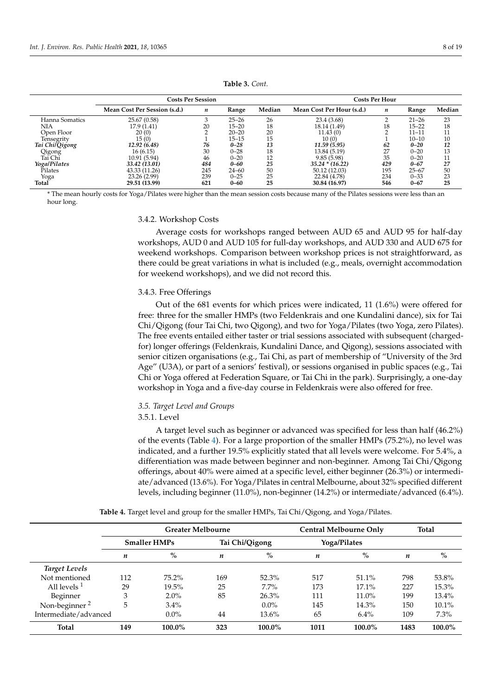<span id="page-7-0"></span>

|                | <b>Costs Per Session</b>     | <b>Costs Per Hour</b> |           |        |                           |     |           |        |
|----------------|------------------------------|-----------------------|-----------|--------|---------------------------|-----|-----------|--------|
|                | Mean Cost Per Session (s.d.) | n                     | Range     | Median | Mean Cost Per Hour (s.d.) | n   | Range     | Median |
| Hanna Somatics | 25.67 (0.58)                 | 3                     | $25 - 26$ | 26     | 23.4 (3.68)               |     | $21 - 26$ | 23     |
| NIA            | 17.9 (1.41)                  | 20                    | $15 - 20$ | 18     | 18.14 (1.49)              | 18  | $15 - 22$ | 18     |
| Open Floor     | 20(0)                        |                       | $20 - 20$ | 20     | 11.43(0)                  |     | $11 - 11$ | 11     |
| Tensegrity     | 15(0)                        |                       | $15 - 15$ | 15     | 10(0)                     |     | $10 - 10$ | 10     |
| Tai ChilQigong | 12.92 (6.48)                 | 76                    | $0 - 28$  | 13     | 11.59 (5.95)              | 62  | $0 - 20$  | 12     |
| Qigong         | 16(6.15)                     | 30                    | $0 - 28$  | 18     | 13.84 (5.19)              | 27  | $0 - 20$  | 13     |
| Tai Chi        | 10.91 (5.94)                 | 46                    | $0 - 20$  | 12     | 9.85(5.98)                | 35  | $0 - 20$  | 11     |
| Yoga/Pilates   | 33.42 (13.01)                | 484                   | $0 - 60$  | 25     | $35.24 * (16.22)$         | 429 | $0 - 67$  | 27     |
| Pilates        | 43.33 (11.26)                | 245                   | $24 - 60$ | 50     | 50.12 (12.03)             | 195 | $25 - 67$ | 50     |
| Yoga           | 23.26 (2.99)                 | 239                   | $0 - 25$  | 25     | 22.84 (4.78)              | 234 | $0 - 33$  | 23     |
| Total          | 29.51 (13.99)                | 621                   | $0 - 60$  | 25     | 30.84 (16.97)             | 546 | $0 - 67$  | 25     |

**Table 3.** *Cont.*

\* The mean hourly costs for Yoga/Pilates were higher than the mean session costs because many of the Pilates sessions were less than an hour long.

#### 3.4.2. Workshop Costs

Average costs for workshops ranged between AUD 65 and AUD 95 for half-day workshops, AUD 0 and AUD 105 for full-day workshops, and AUD 330 and AUD 675 for weekend workshops. Comparison between workshop prices is not straightforward, as there could be great variations in what is included (e.g., meals, overnight accommodation for weekend workshops), and we did not record this.

## 3.4.3. Free Offerings

Out of the 681 events for which prices were indicated, 11 (1.6%) were offered for free: three for the smaller HMPs (two Feldenkrais and one Kundalini dance), six for Tai Chi/Qigong (four Tai Chi, two Qigong), and two for Yoga/Pilates (two Yoga, zero Pilates). The free events entailed either taster or trial sessions associated with subsequent (chargedfor) longer offerings (Feldenkrais, Kundalini Dance, and Qigong), sessions associated with senior citizen organisations (e.g., Tai Chi, as part of membership of "University of the 3rd Age" (U3A), or part of a seniors' festival), or sessions organised in public spaces (e.g., Tai Chi or Yoga offered at Federation Square, or Tai Chi in the park). Surprisingly, a one-day workshop in Yoga and a five-day course in Feldenkrais were also offered for free.

## *3.5. Target Level and Groups*

## 3.5.1. Level

A target level such as beginner or advanced was specified for less than half (46.2%) of the events (Table [4\)](#page-8-0). For a large proportion of the smaller HMPs (75.2%), no level was indicated, and a further 19.5% explicitly stated that all levels were welcome. For 5.4%, a differentiation was made between beginner and non-beginner. Among Tai Chi/Qigong offerings, about 40% were aimed at a specific level, either beginner (26.3%) or intermediate/advanced (13.6%). For Yoga/Pilates in central Melbourne, about 32% specified different levels, including beginner (11.0%), non-beginner (14.2%) or intermediate/advanced (6.4%).

**Table 4.** Target level and group for the smaller HMPs, Tai Chi/Qigong, and Yoga/Pilates.

|                           |     | <b>Greater Melbourne</b> |     | Central Melbourne Only | <b>Total</b> |              |      |           |
|---------------------------|-----|--------------------------|-----|------------------------|--------------|--------------|------|-----------|
|                           |     | <b>Smaller HMPs</b>      |     | Tai Chi/Qigong         |              | Yoga/Pilates |      |           |
|                           | n   | $\%$                     | n   | $\%$                   | n            | $\%$         | n    | $\%$      |
| <b>Target Levels</b>      |     |                          |     |                        |              |              |      |           |
| Not mentioned             | 112 | $75.2\%$                 | 169 | 52.3%                  | 517          | 51.1%        | 798  | 53.8%     |
| All levels $1$            | 29  | $19.5\%$                 | 25  | 7.7%                   | 173          | $17.1\%$     | 227  | 15.3%     |
| Beginner                  | 3   | $2.0\%$                  | 85  | 26.3%                  | 111          | 11.0%        | 199  | 13.4%     |
| Non-beginner <sup>2</sup> | 5   | $3.4\%$                  |     | $0.0\%$                | 145          | 14.3%        | 150  | $10.1\%$  |
| Intermediate/advanced     |     | $0.0\%$                  | 44  | 13.6%                  | 65           | 6.4%         | 109  | 7.3%      |
| <b>Total</b>              | 149 | $100.0\%$                | 323 | $100.0\%$              | 1011         | $100.0\%$    | 1483 | $100.0\%$ |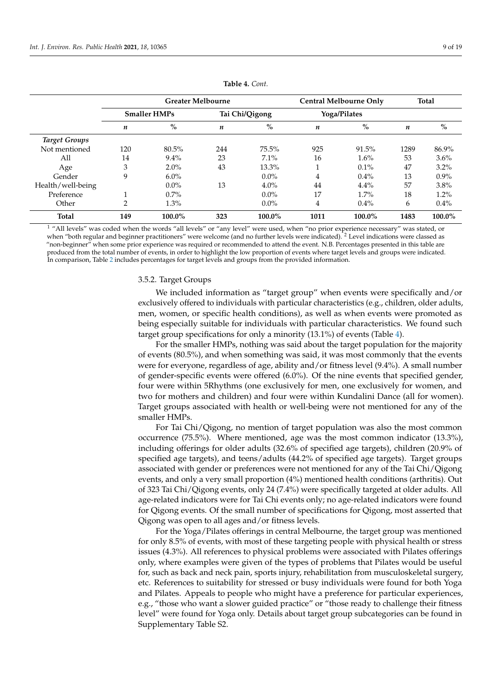<span id="page-8-0"></span>

|                      |     | <b>Greater Melbourne</b> |     |                | Central Melbourne Only |              | <b>Total</b> |         |
|----------------------|-----|--------------------------|-----|----------------|------------------------|--------------|--------------|---------|
|                      |     | <b>Smaller HMPs</b>      |     | Tai Chi/Qigong |                        | Yoga/Pilates |              |         |
|                      | n   | $\%$                     | n   | $\%$           | n                      | $\%$         | n            | $\%$    |
| <b>Target Groups</b> |     |                          |     |                |                        |              |              |         |
| Not mentioned        | 120 | 80.5%                    | 244 | $75.5\%$       | 925                    | 91.5%        | 1289         | 86.9%   |
| All                  | 14  | $9.4\%$                  | 23  | $7.1\%$        | 16                     | $1.6\%$      | 53           | 3.6%    |
| Age                  | 3   | $2.0\%$                  | 43  | 13.3%          |                        | $0.1\%$      | 47           | $3.2\%$ |
| Gender               | 9   | $6.0\%$                  |     | $0.0\%$        | 4                      | $0.4\%$      | 13           | $0.9\%$ |
| Health/well-being    |     | $0.0\%$                  | 13  | $4.0\%$        | 44                     | $4.4\%$      | 57           | 3.8%    |
| Preference           |     | $0.7\%$                  |     | $0.0\%$        | 17                     | $1.7\%$      | 18           | 1.2%    |
| Other                | 2   | 1.3%                     |     | $0.0\%$        | 4                      | $0.4\%$      | 6            | 0.4%    |
| <b>Total</b>         | 149 | 100.0%                   | 323 | 100.0%         | 1011                   | 100.0%       | 1483         | 100.0%  |

**Table 4.** *Cont.*

<sup>1</sup> "All levels" was coded when the words "all levels" or "any level" were used, when "no prior experience necessary" was stated, or when "both regular and beginner practitioners" were welcome (and no further levels were indicated). <sup>2</sup> Level indications were classed as "non-beginner" when some prior experience was required or recommended to attend the event. N.B. Percentages presented in this table are produced from the total number of events, in order to highlight the low proportion of events where target levels and groups were indicated. In comparison, Table [2](#page-5-0) includes percentages for target levels and groups from the provided information.

#### 3.5.2. Target Groups

We included information as "target group" when events were specifically and/or exclusively offered to individuals with particular characteristics (e.g., children, older adults, men, women, or specific health conditions), as well as when events were promoted as being especially suitable for individuals with particular characteristics. We found such target group specifications for only a minority (13.1%) of events (Table [4\)](#page-8-0).

For the smaller HMPs, nothing was said about the target population for the majority of events (80.5%), and when something was said, it was most commonly that the events were for everyone, regardless of age, ability and/or fitness level (9.4%). A small number of gender-specific events were offered (6.0%). Of the nine events that specified gender, four were within 5Rhythms (one exclusively for men, one exclusively for women, and two for mothers and children) and four were within Kundalini Dance (all for women). Target groups associated with health or well-being were not mentioned for any of the smaller HMPs.

For Tai Chi/Qigong, no mention of target population was also the most common occurrence (75.5%). Where mentioned, age was the most common indicator (13.3%), including offerings for older adults (32.6% of specified age targets), children (20.9% of specified age targets), and teens/adults (44.2% of specified age targets). Target groups associated with gender or preferences were not mentioned for any of the Tai Chi/Qigong events, and only a very small proportion (4%) mentioned health conditions (arthritis). Out of 323 Tai Chi/Qigong events, only 24 (7.4%) were specifically targeted at older adults. All age-related indicators were for Tai Chi events only; no age-related indicators were found for Qigong events. Of the small number of specifications for Qigong, most asserted that Qigong was open to all ages and/or fitness levels.

For the Yoga/Pilates offerings in central Melbourne, the target group was mentioned for only 8.5% of events, with most of these targeting people with physical health or stress issues (4.3%). All references to physical problems were associated with Pilates offerings only, where examples were given of the types of problems that Pilates would be useful for, such as back and neck pain, sports injury, rehabilitation from musculoskeletal surgery, etc. References to suitability for stressed or busy individuals were found for both Yoga and Pilates. Appeals to people who might have a preference for particular experiences, e.g., "those who want a slower guided practice" or "those ready to challenge their fitness level" were found for Yoga only. Details about target group subcategories can be found in Supplementary Table S2.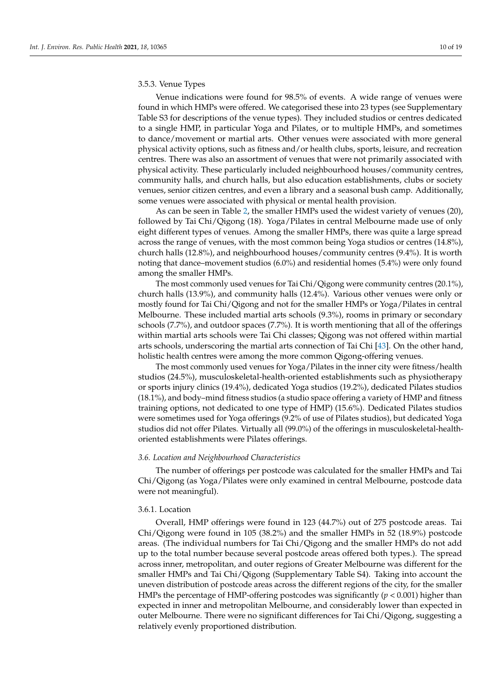## 3.5.3. Venue Types

Venue indications were found for 98.5% of events. A wide range of venues were found in which HMPs were offered. We categorised these into 23 types (see Supplementary Table S3 for descriptions of the venue types). They included studios or centres dedicated to a single HMP, in particular Yoga and Pilates, or to multiple HMPs, and sometimes to dance/movement or martial arts. Other venues were associated with more general physical activity options, such as fitness and/or health clubs, sports, leisure, and recreation centres. There was also an assortment of venues that were not primarily associated with physical activity. These particularly included neighbourhood houses/community centres, community halls, and church halls, but also education establishments, clubs or society venues, senior citizen centres, and even a library and a seasonal bush camp. Additionally, some venues were associated with physical or mental health provision.

As can be seen in Table [2,](#page-5-0) the smaller HMPs used the widest variety of venues (20), followed by Tai Chi/Qigong (18). Yoga/Pilates in central Melbourne made use of only eight different types of venues. Among the smaller HMPs, there was quite a large spread across the range of venues, with the most common being Yoga studios or centres (14.8%), church halls (12.8%), and neighbourhood houses/community centres (9.4%). It is worth noting that dance–movement studios (6.0%) and residential homes (5.4%) were only found among the smaller HMPs.

The most commonly used venues for Tai Chi/Qigong were community centres (20.1%), church halls (13.9%), and community halls (12.4%). Various other venues were only or mostly found for Tai Chi/Qigong and not for the smaller HMPs or Yoga/Pilates in central Melbourne. These included martial arts schools (9.3%), rooms in primary or secondary schools (7.7%), and outdoor spaces (7.7%). It is worth mentioning that all of the offerings within martial arts schools were Tai Chi classes; Qigong was not offered within martial arts schools, underscoring the martial arts connection of Tai Chi [\[43\]](#page-17-21). On the other hand, holistic health centres were among the more common Qigong-offering venues.

The most commonly used venues for Yoga/Pilates in the inner city were fitness/health studios (24.5%), musculoskeletal-health-oriented establishments such as physiotherapy or sports injury clinics (19.4%), dedicated Yoga studios (19.2%), dedicated Pilates studios (18.1%), and body–mind fitness studios (a studio space offering a variety of HMP and fitness training options, not dedicated to one type of HMP) (15.6%). Dedicated Pilates studios were sometimes used for Yoga offerings (9.2% of use of Pilates studios), but dedicated Yoga studios did not offer Pilates. Virtually all (99.0%) of the offerings in musculoskeletal-healthoriented establishments were Pilates offerings.

#### *3.6. Location and Neighbourhood Characteristics*

The number of offerings per postcode was calculated for the smaller HMPs and Tai Chi/Qigong (as Yoga/Pilates were only examined in central Melbourne, postcode data were not meaningful).

## 3.6.1. Location

Overall, HMP offerings were found in 123 (44.7%) out of 275 postcode areas. Tai Chi/Qigong were found in 105 (38.2%) and the smaller HMPs in 52 (18.9%) postcode areas. (The individual numbers for Tai Chi/Qigong and the smaller HMPs do not add up to the total number because several postcode areas offered both types.). The spread across inner, metropolitan, and outer regions of Greater Melbourne was different for the smaller HMPs and Tai Chi/Qigong (Supplementary Table S4). Taking into account the uneven distribution of postcode areas across the different regions of the city, for the smaller HMPs the percentage of HMP-offering postcodes was significantly (*p* < 0.001) higher than expected in inner and metropolitan Melbourne, and considerably lower than expected in outer Melbourne. There were no significant differences for Tai Chi/Qigong, suggesting a relatively evenly proportioned distribution.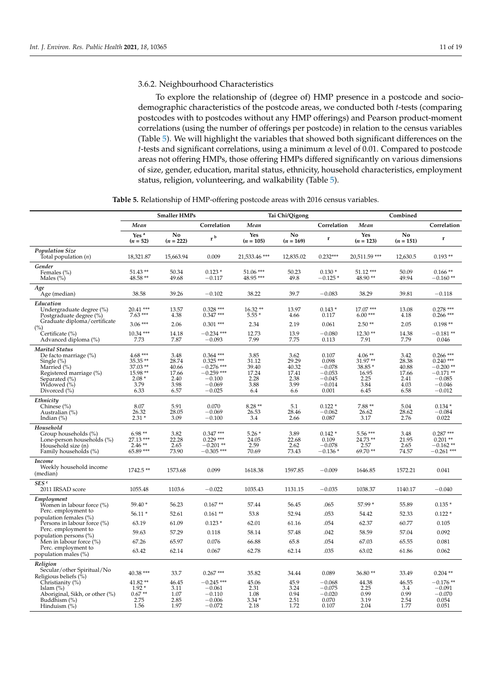## 3.6.2. Neighbourhood Characteristics

To explore the relationship of (degree of) HMP presence in a postcode and sociodemographic characteristics of the postcode areas, we conducted both *t*-tests (comparing postcodes with to postcodes without any HMP offerings) and Pearson product-moment correlations (using the number of offerings per postcode) in relation to the census variables (Table [5\)](#page-11-0). We will highlight the variables that showed both significant differences on the *t*-tests and significant correlations, using a minimum α level of 0.01. Compared to postcode areas not offering HMPs, those offering HMPs differed significantly on various dimensions of size, gender, education, marital status, ethnicity, household characteristics, employment status, religion, volunteering, and walkability (Table [5\)](#page-11-0).

**Table 5.** Relationship of HMP-offering postcode areas with 2016 census variables.

|                                                                                                                                                                   |                                                                          | <b>Smaller HMPs</b>                                     |                                                                                               |                                                        | Tai Chi/Qigong                                         |                                                                         |                                                                 | Combined                                                |                                                                                            |
|-------------------------------------------------------------------------------------------------------------------------------------------------------------------|--------------------------------------------------------------------------|---------------------------------------------------------|-----------------------------------------------------------------------------------------------|--------------------------------------------------------|--------------------------------------------------------|-------------------------------------------------------------------------|-----------------------------------------------------------------|---------------------------------------------------------|--------------------------------------------------------------------------------------------|
|                                                                                                                                                                   | Mean                                                                     |                                                         | Correlation                                                                                   | Mean                                                   |                                                        | Correlation                                                             | Mean                                                            |                                                         | Correlation                                                                                |
|                                                                                                                                                                   | Yes <sup>a</sup><br>$(n = 52)$                                           | No<br>$(n = 222)$                                       | r <sup>b</sup>                                                                                | Yes<br>$(n = 105)$                                     | No<br>$(n = 169)$                                      | r                                                                       | Yes<br>$(n = 123)$                                              | No<br>$(n = 151)$                                       | r                                                                                          |
| <b>Population Size</b><br>Total population $(n)$                                                                                                                  | 18,321.87                                                                | 15,663.94                                               | 0.009                                                                                         | 21,533.46 ***                                          | 12,835.02                                              | $0.232***$                                                              | 20.511.59 ***                                                   | 12,630.5                                                | $0.193**$                                                                                  |
| Gender<br>Females (%)<br>Males $(\%)$                                                                                                                             | $51.43**$<br>48.58 **                                                    | 50.34<br>49.68                                          | $0.123*$<br>$-0.117$                                                                          | 51.06 ***<br>48.95 ***                                 | 50.23<br>49.8                                          | $0.130*$<br>$-0.125*$                                                   | $51.12***$<br>48.90**                                           | 50.09<br>49.94                                          | $0.166**$<br>$-0.160**$                                                                    |
| Age<br>Age (median)                                                                                                                                               | 38.58                                                                    | 39.26                                                   | $-0.102$                                                                                      | 38.22                                                  | 39.7                                                   | $-0.083$                                                                | 38.29                                                           | 39.81                                                   | $-0.118$                                                                                   |
| Education<br>Undergraduate degree (%)<br>Postgraduate degree (%)                                                                                                  | $20.41$ ***<br>$7.63***$                                                 | 13.57<br>4.38                                           | $0.328***$<br>$0.347***$                                                                      | $16.32**$<br>$5.55*$                                   | 13.97<br>4.66                                          | $0.143*$<br>0.117                                                       | $17.07***$<br>$6.00***$                                         | 13.08<br>4.18                                           | $0.278$ ***<br>$0.266$ ***                                                                 |
| Graduate diploma/certificate<br>(%)                                                                                                                               | $3.06***$                                                                | 2.06                                                    | $0.301$ ***                                                                                   | 2.34                                                   | 2.19                                                   | 0.061                                                                   | $2.50**$                                                        | 2.05                                                    | $0.198**$                                                                                  |
| Certificate (%)<br>Advanced diploma (%)                                                                                                                           | $10.34$ ***<br>7.73                                                      | 14.18<br>7.87                                           | $-0.234$ ***<br>$-0.093$                                                                      | 12.73<br>7.99                                          | 13.9<br>7.75                                           | $-0.080$<br>0.113                                                       | $12.30**$<br>7.91                                               | 14.38<br>7.79                                           | $-0.181**$<br>0.046                                                                        |
| <b>Marital Status</b><br>De facto marriage (%)<br>Single $(\%)$<br>Married (%)<br>Registered marriage (%)<br>Separated $(\% )$<br>Widowed (%)<br>Divorced $(\% )$ | $4.68***$<br>35.35**<br>$37.03**$<br>15.98 **<br>$2.08*$<br>3.79<br>6.33 | 3.48<br>28.74<br>40.66<br>17.66<br>2.40<br>3.98<br>6.57 | $0.364$ ***<br>$0.325***$<br>$-0.276$ ***<br>$-0.259$ ***<br>$-0.100$<br>$-0.069$<br>$-0.025$ | 3.85<br>31.12<br>39.40<br>17.24<br>2.28<br>3.88<br>6.4 | 3.62<br>29.29<br>40.32<br>17.41<br>2.38<br>3.99<br>6.6 | 0.107<br>0.098<br>$-0.078$<br>$-0.053$<br>$-0.045$<br>$-0.014$<br>0.001 | $4.06**$<br>31.97**<br>38.85 *<br>16.95<br>2.25<br>3.84<br>6.45 | 3.42<br>28.38<br>40.88<br>17.66<br>2.41<br>4.03<br>6.58 | $0.266$ ***<br>$0.240$ ***<br>$-0.200**$<br>$-0.171**$<br>$-0.085$<br>$-0.046$<br>$-0.012$ |
| Ethnicity<br>Chinese $(\% )$<br>Australian (%)<br>Indian $(\%)$                                                                                                   | 8.07<br>26.32<br>$2.31*$                                                 | 5.91<br>28.05<br>3.09                                   | 0.070<br>$-0.069$<br>$-0.100$                                                                 | $8.28**$<br>26.53<br>3.4                               | 5.1<br>28.46<br>2.66                                   | $0.122*$<br>$-0.062$<br>0.087                                           | 7.88 **<br>26.62<br>3.17                                        | 5.04<br>28.62<br>2.76                                   | $0.134*$<br>$-0.084$<br>0.022                                                              |
| Household<br>Group households (%)<br>Lone-person households (%)<br>Household size (n)<br>Family households (%)                                                    | $6.98**$<br>27.13 ***<br>$2.46**$<br>65.89 ***                           | 3.82<br>22.28<br>2.65<br>73.90                          | $0.347***$<br>$0.229$ ***<br>$-0.201$ **<br>$-0.305$ ***                                      | $5.26*$<br>24.05<br>2.59<br>70.69                      | 3.89<br>22.68<br>2.62<br>73.43                         | $0.142*$<br>0.109<br>$-0.078$<br>$-0.136$ $^*$                          | 5.56***<br>$24.73**$<br>2.57<br>69.70**                         | 3.48<br>21.95<br>2.65<br>74.57                          | $0.287***$<br>$0.201**$<br>$-0.162**$<br>$-0.261$ ***                                      |
| Income<br>Weekly household income<br>(median)                                                                                                                     | $1742.5**$                                                               | 1573.68                                                 | 0.099                                                                                         | 1618.38                                                | 1597.85                                                | $-0.009$                                                                | 1646.85                                                         | 1572.21                                                 | 0.041                                                                                      |
| SES <sup>c</sup><br>2011 IRSAD score                                                                                                                              | 1055.48                                                                  | 1103.6                                                  | $-0.022$                                                                                      | 1035.43                                                | 1131.15                                                | $-0.035$                                                                | 1038.37                                                         | 1140.17                                                 | $-0.040$                                                                                   |
| Employment<br>Women in labour force (%)                                                                                                                           | $59.40*$                                                                 | 56.23                                                   | $0.167**$                                                                                     | 57.44                                                  | 56.45                                                  | .065                                                                    | 57.99 *                                                         | 55.89                                                   | $0.135*$                                                                                   |
| Perc. employment to<br>population females (%)                                                                                                                     | $56.11*$                                                                 | 52.61                                                   | $0.161**$                                                                                     | 53.8                                                   | 52.94                                                  | .053                                                                    | 54.42                                                           | 52.33                                                   | $0.122*$                                                                                   |
| Persons in labour force (%)                                                                                                                                       | 63.19                                                                    | 61.09                                                   | $0.123*$                                                                                      | 62.01                                                  | 61.16                                                  | .054                                                                    | 62.37                                                           | 60.77                                                   | 0.105                                                                                      |
| Perc. employment to<br>population persons (%)                                                                                                                     | 59.63                                                                    | 57.29                                                   | 0.118                                                                                         | 58.14                                                  | 57.48                                                  | .042                                                                    | 58.59                                                           | 57.04                                                   | 0.092                                                                                      |
| Men in labour force (%)                                                                                                                                           | 67.26                                                                    | 65.97                                                   | 0.076                                                                                         | 66.88                                                  | 65.8                                                   | .054                                                                    | 67.03                                                           | 65.55                                                   | 0.081                                                                                      |
| Perc. employment to<br>population males (%)                                                                                                                       | 63.42                                                                    | 62.14                                                   | 0.067                                                                                         | 62.78                                                  | 62.14                                                  | .035                                                                    | 63.02                                                           | 61.86                                                   | 0.062                                                                                      |
| Religion<br>Secular/other Spiritual/No<br>Religious beliefs (%)<br>Christianity (%)                                                                               | $40.38***$<br>41.82**                                                    | 33.7<br>46.45                                           | $0.267***$<br>$-0.245$ ***                                                                    | 35.82<br>45.06                                         | 34.44<br>45.9                                          | 0.089<br>$-0.068$                                                       | $36.80**$<br>44.38                                              | 33.49<br>46.55                                          | $0.204$ **<br>$-0.176**$                                                                   |
| Islam $(\%)$<br>Aboriginal, Sikh, or other (%)<br>Buddhism $(\%)$<br>Hinduism $(\%)$                                                                              | $1.92*$<br>$0.67**$<br>2.75<br>1.56                                      | 3.11<br>1.07<br>2.85<br>1.97                            | $-0.061$<br>$-0.110$<br>$-0.006$<br>$-0.072$                                                  | 2.31<br>1.08<br>$3.34*$<br>2.18                        | 3.24<br>0.94<br>2.51<br>1.72                           | $-0.075$<br>$-0.020$<br>0.070<br>0.107                                  | 2.25<br>0.99<br>3.19<br>2.04                                    | 3.4<br>0.99<br>2.54<br>1.77                             | $-0.091$<br>$-0.070$<br>0.054<br>0.051                                                     |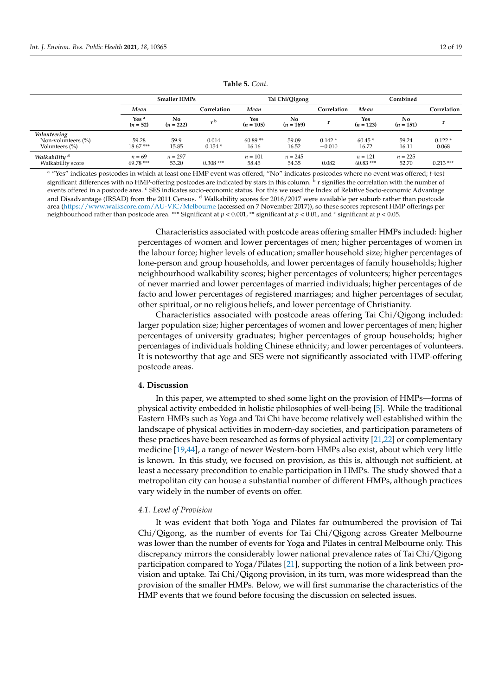<span id="page-11-0"></span>

|                                                      |                                | <b>Smaller HMPs</b> |                   |                    | Tai Chi/Qigong                |                      | Combined                |                               |                   |
|------------------------------------------------------|--------------------------------|---------------------|-------------------|--------------------|-------------------------------|----------------------|-------------------------|-------------------------------|-------------------|
|                                                      | Mean                           |                     | Correlation       | Mean               |                               | Correlation          | Mean                    |                               | Correlation       |
|                                                      | Yes <sup>a</sup><br>$(n = 52)$ | No.<br>$(n = 222)$  | $\cdot$ b         | Yes<br>$(n = 105)$ | N <sub>0</sub><br>$(n = 169)$ |                      | Yes<br>$(n = 123)$      | N <sub>0</sub><br>$(n = 151)$ |                   |
| Volunteering<br>Non-volunteers (%)<br>Volunteers (%) | 59.28<br>$18.67***$            | 59.9<br>15.85       | 0.014<br>$0.154*$ | $60.89**$<br>16.16 | 59.09<br>16.52                | $0.142*$<br>$-0.010$ | $60.45*$<br>16.72       | 59.24<br>16.11                | $0.122*$<br>0.068 |
| Walkability <sup>d</sup><br>Walkability score        | $n = 69$<br>69.78 ***          | $n = 297$<br>53.20  | $0.308***$        | $n = 101$<br>58.45 | $n = 245$<br>54.35            | 0.082                | $n = 121$<br>$60.83***$ | $n = 225$<br>52.70            | $0.213***$        |

#### **Table 5.** *Cont.*

<sup>a</sup> "Yes" indicates postcodes in which at least one HMP event was offered; "No" indicates postcodes where no event was offered; *t*-test significant differences with no HMP-offering postcodes are indicated by stars in this column. <sup>b</sup> r signifies the correlation with the number of events offered in a postcode area. <sup>c</sup> SES indicates socio-economic status. For this we used the Index of Relative Socio-economic Advantage and Disadvantage (IRSAD) from the 2011 Census. <sup>d</sup> Walkability scores for 2016/2017 were available per suburb rather than postcode area [\(https://www.walkscore.com/AU-VIC/Melbourne](https://www.walkscore.com/AU-VIC/Melbourne) (accessed on 7 November 2017)), so these scores represent HMP offerings per neighbourhood rather than postcode area. \*\*\* Significant at *p* < 0.001, \*\* significant at *p* < 0.01, and \* significant at *p* < 0.05.

> Characteristics associated with postcode areas offering smaller HMPs included: higher percentages of women and lower percentages of men; higher percentages of women in the labour force; higher levels of education; smaller household size; higher percentages of lone-person and group households, and lower percentages of family households; higher neighbourhood walkability scores; higher percentages of volunteers; higher percentages of never married and lower percentages of married individuals; higher percentages of de facto and lower percentages of registered marriages; and higher percentages of secular, other spiritual, or no religious beliefs, and lower percentage of Christianity.

> Characteristics associated with postcode areas offering Tai Chi/Qigong included: larger population size; higher percentages of women and lower percentages of men; higher percentages of university graduates; higher percentages of group households; higher percentages of individuals holding Chinese ethnicity; and lower percentages of volunteers. It is noteworthy that age and SES were not significantly associated with HMP-offering postcode areas.

## **4. Discussion**

In this paper, we attempted to shed some light on the provision of HMPs—forms of physical activity embedded in holistic philosophies of well-being [\[5\]](#page-16-4). While the traditional Eastern HMPs such as Yoga and Tai Chi have become relatively well established within the landscape of physical activities in modern-day societies, and participation parameters of these practices have been researched as forms of physical activity [\[21,](#page-17-3)[22\]](#page-17-4) or complementary medicine [\[19,](#page-17-1)[44\]](#page-17-22), a range of newer Western-born HMPs also exist, about which very little is known. In this study, we focused on provision, as this is, although not sufficient, at least a necessary precondition to enable participation in HMPs. The study showed that a metropolitan city can house a substantial number of different HMPs, although practices vary widely in the number of events on offer.

## *4.1. Level of Provision*

It was evident that both Yoga and Pilates far outnumbered the provision of Tai Chi/Qigong, as the number of events for Tai Chi/Qigong across Greater Melbourne was lower than the number of events for Yoga and Pilates in central Melbourne only. This discrepancy mirrors the considerably lower national prevalence rates of Tai Chi/Qigong participation compared to Yoga/Pilates [\[21\]](#page-17-3), supporting the notion of a link between provision and uptake. Tai Chi/Qigong provision, in its turn, was more widespread than the provision of the smaller HMPs. Below, we will first summarise the characteristics of the HMP events that we found before focusing the discussion on selected issues.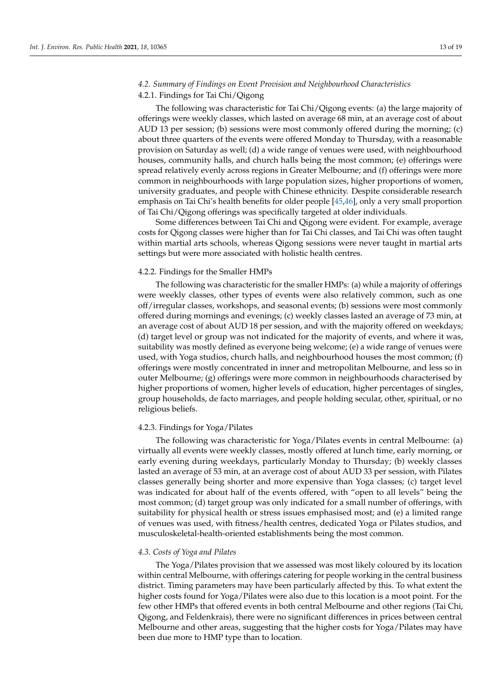## *4.2. Summary of Findings on Event Provision and Neighbourhood Characteristics*

## 4.2.1. Findings for Tai Chi/Qigong

The following was characteristic for Tai Chi/Qigong events: (a) the large majority of offerings were weekly classes, which lasted on average 68 min, at an average cost of about AUD 13 per session; (b) sessions were most commonly offered during the morning; (c) about three quarters of the events were offered Monday to Thursday, with a reasonable provision on Saturday as well; (d) a wide range of venues were used, with neighbourhood houses, community halls, and church halls being the most common; (e) offerings were spread relatively evenly across regions in Greater Melbourne; and (f) offerings were more common in neighbourhoods with large population sizes, higher proportions of women, university graduates, and people with Chinese ethnicity. Despite considerable research emphasis on Tai Chi's health benefits for older people [\[45](#page-17-23)[,46\]](#page-18-0), only a very small proportion of Tai Chi/Qigong offerings was specifically targeted at older individuals.

Some differences between Tai Chi and Qigong were evident. For example, average costs for Qigong classes were higher than for Tai Chi classes, and Tai Chi was often taught within martial arts schools, whereas Qigong sessions were never taught in martial arts settings but were more associated with holistic health centres.

## 4.2.2. Findings for the Smaller HMPs

The following was characteristic for the smaller HMPs: (a) while a majority of offerings were weekly classes, other types of events were also relatively common, such as one off/irregular classes, workshops, and seasonal events; (b) sessions were most commonly offered during mornings and evenings; (c) weekly classes lasted an average of 73 min, at an average cost of about AUD 18 per session, and with the majority offered on weekdays; (d) target level or group was not indicated for the majority of events, and where it was, suitability was mostly defined as everyone being welcome; (e) a wide range of venues were used, with Yoga studios, church halls, and neighbourhood houses the most common; (f) offerings were mostly concentrated in inner and metropolitan Melbourne, and less so in outer Melbourne; (g) offerings were more common in neighbourhoods characterised by higher proportions of women, higher levels of education, higher percentages of singles, group households, de facto marriages, and people holding secular, other, spiritual, or no religious beliefs.

## 4.2.3. Findings for Yoga/Pilates

The following was characteristic for Yoga/Pilates events in central Melbourne: (a) virtually all events were weekly classes, mostly offered at lunch time, early morning, or early evening during weekdays, particularly Monday to Thursday; (b) weekly classes lasted an average of 53 min, at an average cost of about AUD 33 per session, with Pilates classes generally being shorter and more expensive than Yoga classes; (c) target level was indicated for about half of the events offered, with "open to all levels" being the most common; (d) target group was only indicated for a small number of offerings, with suitability for physical health or stress issues emphasised most; and (e) a limited range of venues was used, with fitness/health centres, dedicated Yoga or Pilates studios, and musculoskeletal-health-oriented establishments being the most common.

## *4.3. Costs of Yoga and Pilates*

The Yoga/Pilates provision that we assessed was most likely coloured by its location within central Melbourne, with offerings catering for people working in the central business district. Timing parameters may have been particularly affected by this. To what extent the higher costs found for Yoga/Pilates were also due to this location is a moot point. For the few other HMPs that offered events in both central Melbourne and other regions (Tai Chi, Qigong, and Feldenkrais), there were no significant differences in prices between central Melbourne and other areas, suggesting that the higher costs for Yoga/Pilates may have been due more to HMP type than to location.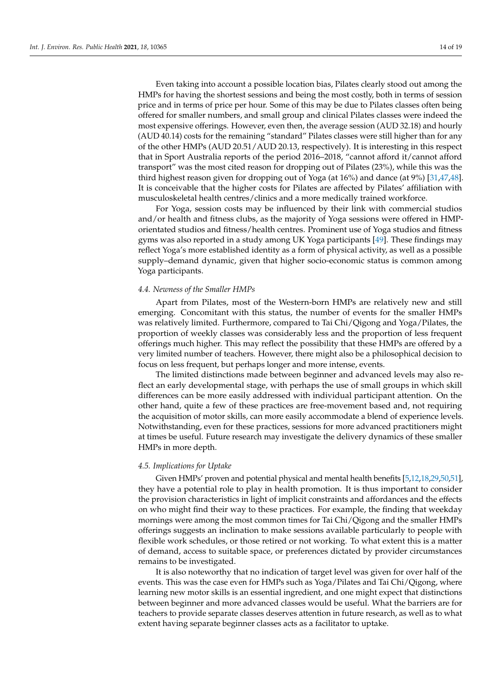Even taking into account a possible location bias, Pilates clearly stood out among the HMPs for having the shortest sessions and being the most costly, both in terms of session price and in terms of price per hour. Some of this may be due to Pilates classes often being offered for smaller numbers, and small group and clinical Pilates classes were indeed the most expensive offerings. However, even then, the average session (AUD 32.18) and hourly (AUD 40.14) costs for the remaining "standard" Pilates classes were still higher than for any of the other HMPs (AUD 20.51/AUD 20.13, respectively). It is interesting in this respect that in Sport Australia reports of the period 2016–2018, "cannot afford it/cannot afford transport" was the most cited reason for dropping out of Pilates (23%), while this was the third highest reason given for dropping out of Yoga (at 16%) and dance (at 9%) [\[31](#page-17-11)[,47,](#page-18-1)[48\]](#page-18-2). It is conceivable that the higher costs for Pilates are affected by Pilates' affiliation with musculoskeletal health centres/clinics and a more medically trained workforce.

For Yoga, session costs may be influenced by their link with commercial studios and/or health and fitness clubs, as the majority of Yoga sessions were offered in HMPorientated studios and fitness/health centres. Prominent use of Yoga studios and fitness gyms was also reported in a study among UK Yoga participants [\[49\]](#page-18-3). These findings may reflect Yoga's more established identity as a form of physical activity, as well as a possible supply–demand dynamic, given that higher socio-economic status is common among Yoga participants.

## *4.4. Newness of the Smaller HMPs*

Apart from Pilates, most of the Western-born HMPs are relatively new and still emerging. Concomitant with this status, the number of events for the smaller HMPs was relatively limited. Furthermore, compared to Tai Chi/Qigong and Yoga/Pilates, the proportion of weekly classes was considerably less and the proportion of less frequent offerings much higher. This may reflect the possibility that these HMPs are offered by a very limited number of teachers. However, there might also be a philosophical decision to focus on less frequent, but perhaps longer and more intense, events.

The limited distinctions made between beginner and advanced levels may also reflect an early developmental stage, with perhaps the use of small groups in which skill differences can be more easily addressed with individual participant attention. On the other hand, quite a few of these practices are free-movement based and, not requiring the acquisition of motor skills, can more easily accommodate a blend of experience levels. Notwithstanding, even for these practices, sessions for more advanced practitioners might at times be useful. Future research may investigate the delivery dynamics of these smaller HMPs in more depth.

## *4.5. Implications for Uptake*

Given HMPs' proven and potential physical and mental health benefits [\[5](#page-16-4)[,12](#page-16-6)[,18](#page-17-0)[,29](#page-17-9)[,50](#page-18-4)[,51\]](#page-18-5), they have a potential role to play in health promotion. It is thus important to consider the provision characteristics in light of implicit constraints and affordances and the effects on who might find their way to these practices. For example, the finding that weekday mornings were among the most common times for Tai Chi/Qigong and the smaller HMPs offerings suggests an inclination to make sessions available particularly to people with flexible work schedules, or those retired or not working. To what extent this is a matter of demand, access to suitable space, or preferences dictated by provider circumstances remains to be investigated.

It is also noteworthy that no indication of target level was given for over half of the events. This was the case even for HMPs such as Yoga/Pilates and Tai Chi/Qigong, where learning new motor skills is an essential ingredient, and one might expect that distinctions between beginner and more advanced classes would be useful. What the barriers are for teachers to provide separate classes deserves attention in future research, as well as to what extent having separate beginner classes acts as a facilitator to uptake.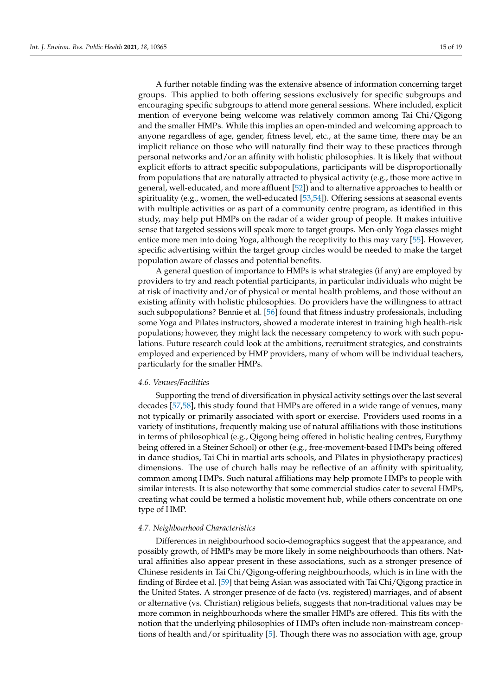A further notable finding was the extensive absence of information concerning target groups. This applied to both offering sessions exclusively for specific subgroups and encouraging specific subgroups to attend more general sessions. Where included, explicit mention of everyone being welcome was relatively common among Tai Chi/Qigong and the smaller HMPs. While this implies an open-minded and welcoming approach to anyone regardless of age, gender, fitness level, etc., at the same time, there may be an implicit reliance on those who will naturally find their way to these practices through personal networks and/or an affinity with holistic philosophies. It is likely that without explicit efforts to attract specific subpopulations, participants will be disproportionally from populations that are naturally attracted to physical activity (e.g., those more active in general, well-educated, and more affluent [\[52\]](#page-18-6)) and to alternative approaches to health or spirituality (e.g., women, the well-educated  $[53,54]$  $[53,54]$ ). Offering sessions at seasonal events with multiple activities or as part of a community centre program, as identified in this study, may help put HMPs on the radar of a wider group of people. It makes intuitive sense that targeted sessions will speak more to target groups. Men-only Yoga classes might entice more men into doing Yoga, although the receptivity to this may vary [\[55\]](#page-18-9). However, specific advertising within the target group circles would be needed to make the target population aware of classes and potential benefits.

A general question of importance to HMPs is what strategies (if any) are employed by providers to try and reach potential participants, in particular individuals who might be at risk of inactivity and/or of physical or mental health problems, and those without an existing affinity with holistic philosophies. Do providers have the willingness to attract such subpopulations? Bennie et al. [\[56\]](#page-18-10) found that fitness industry professionals, including some Yoga and Pilates instructors, showed a moderate interest in training high health-risk populations; however, they might lack the necessary competency to work with such populations. Future research could look at the ambitions, recruitment strategies, and constraints employed and experienced by HMP providers, many of whom will be individual teachers, particularly for the smaller HMPs.

## *4.6. Venues/Facilities*

Supporting the trend of diversification in physical activity settings over the last several decades [\[57,](#page-18-11)[58\]](#page-18-12), this study found that HMPs are offered in a wide range of venues, many not typically or primarily associated with sport or exercise. Providers used rooms in a variety of institutions, frequently making use of natural affiliations with those institutions in terms of philosophical (e.g., Qigong being offered in holistic healing centres, Eurythmy being offered in a Steiner School) or other (e.g., free-movement-based HMPs being offered in dance studios, Tai Chi in martial arts schools, and Pilates in physiotherapy practices) dimensions. The use of church halls may be reflective of an affinity with spirituality, common among HMPs. Such natural affiliations may help promote HMPs to people with similar interests. It is also noteworthy that some commercial studios cater to several HMPs, creating what could be termed a holistic movement hub, while others concentrate on one type of HMP.

## *4.7. Neighbourhood Characteristics*

Differences in neighbourhood socio-demographics suggest that the appearance, and possibly growth, of HMPs may be more likely in some neighbourhoods than others. Natural affinities also appear present in these associations, such as a stronger presence of Chinese residents in Tai Chi/Qigong-offering neighbourhoods, which is in line with the finding of Birdee et al. [\[59\]](#page-18-13) that being Asian was associated with Tai Chi/Qigong practice in the United States. A stronger presence of de facto (vs. registered) marriages, and of absent or alternative (vs. Christian) religious beliefs, suggests that non-traditional values may be more common in neighbourhoods where the smaller HMPs are offered. This fits with the notion that the underlying philosophies of HMPs often include non-mainstream conceptions of health and/or spirituality [\[5\]](#page-16-4). Though there was no association with age, group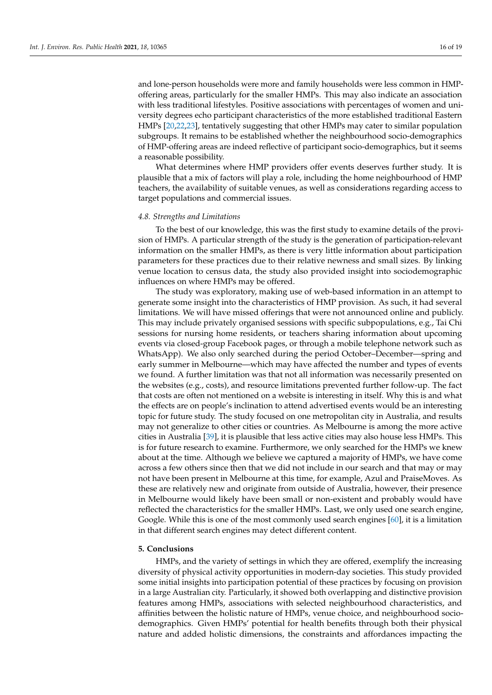and lone-person households were more and family households were less common in HMPoffering areas, particularly for the smaller HMPs. This may also indicate an association with less traditional lifestyles. Positive associations with percentages of women and university degrees echo participant characteristics of the more established traditional Eastern HMPs [\[20,](#page-17-2)[22,](#page-17-4)[23\]](#page-17-5), tentatively suggesting that other HMPs may cater to similar population subgroups. It remains to be established whether the neighbourhood socio-demographics of HMP-offering areas are indeed reflective of participant socio-demographics, but it seems a reasonable possibility.

What determines where HMP providers offer events deserves further study. It is plausible that a mix of factors will play a role, including the home neighbourhood of HMP teachers, the availability of suitable venues, as well as considerations regarding access to target populations and commercial issues.

## *4.8. Strengths and Limitations*

To the best of our knowledge, this was the first study to examine details of the provision of HMPs. A particular strength of the study is the generation of participation-relevant information on the smaller HMPs, as there is very little information about participation parameters for these practices due to their relative newness and small sizes. By linking venue location to census data, the study also provided insight into sociodemographic influences on where HMPs may be offered.

The study was exploratory, making use of web-based information in an attempt to generate some insight into the characteristics of HMP provision. As such, it had several limitations. We will have missed offerings that were not announced online and publicly. This may include privately organised sessions with specific subpopulations, e.g., Tai Chi sessions for nursing home residents, or teachers sharing information about upcoming events via closed-group Facebook pages, or through a mobile telephone network such as WhatsApp). We also only searched during the period October–December—spring and early summer in Melbourne—which may have affected the number and types of events we found. A further limitation was that not all information was necessarily presented on the websites (e.g., costs), and resource limitations prevented further follow-up. The fact that costs are often not mentioned on a website is interesting in itself. Why this is and what the effects are on people's inclination to attend advertised events would be an interesting topic for future study. The study focused on one metropolitan city in Australia, and results may not generalize to other cities or countries. As Melbourne is among the more active cities in Australia [\[39\]](#page-17-17), it is plausible that less active cities may also house less HMPs. This is for future research to examine. Furthermore, we only searched for the HMPs we knew about at the time. Although we believe we captured a majority of HMPs, we have come across a few others since then that we did not include in our search and that may or may not have been present in Melbourne at this time, for example, Azul and PraiseMoves. As these are relatively new and originate from outside of Australia, however, their presence in Melbourne would likely have been small or non-existent and probably would have reflected the characteristics for the smaller HMPs. Last, we only used one search engine, Google. While this is one of the most commonly used search engines [\[60\]](#page-18-14), it is a limitation in that different search engines may detect different content.

## **5. Conclusions**

HMPs, and the variety of settings in which they are offered, exemplify the increasing diversity of physical activity opportunities in modern-day societies. This study provided some initial insights into participation potential of these practices by focusing on provision in a large Australian city. Particularly, it showed both overlapping and distinctive provision features among HMPs, associations with selected neighbourhood characteristics, and affinities between the holistic nature of HMPs, venue choice, and neighbourhood sociodemographics. Given HMPs' potential for health benefits through both their physical nature and added holistic dimensions, the constraints and affordances impacting the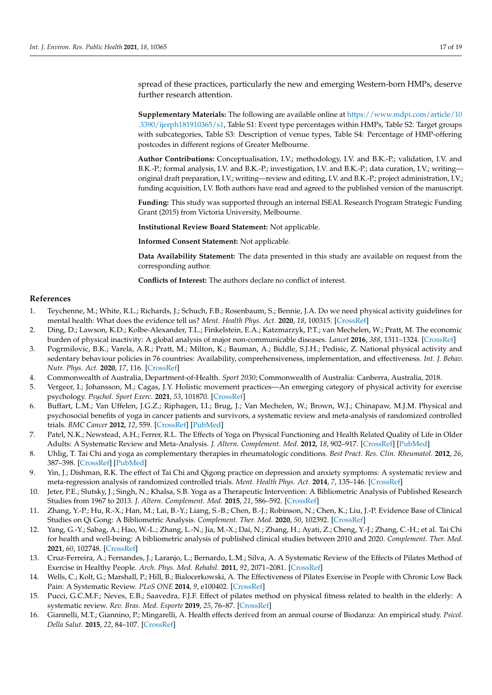spread of these practices, particularly the new and emerging Western-born HMPs, deserve further research attention.

**Supplementary Materials:** The following are available online at [https://www.mdpi.com/article/10](https://www.mdpi.com/article/10.3390/ijerph181910365/s1) [.3390/ijerph181910365/s1,](https://www.mdpi.com/article/10.3390/ijerph181910365/s1) Table S1: Event type percentages within HMPs, Table S2: Target groups with subcategories, Table S3: Description of venue types, Table S4: Percentage of HMP-offering postcodes in different regions of Greater Melbourne.

**Author Contributions:** Conceptualisation, I.V.; methodology, I.V. and B.K.-P.; validation, I.V. and B.K.-P.; formal analysis, I.V. and B.K.-P.; investigation, I.V. and B.K.-P.; data curation, I.V.; writing original draft preparation, I.V.; writing—review and editing, I.V. and B.K.-P.; project administration, I.V.; funding acquisition, I.V. Both authors have read and agreed to the published version of the manuscript.

**Funding:** This study was supported through an internal ISEAL Research Program Strategic Funding Grant (2015) from Victoria University, Melbourne.

**Institutional Review Board Statement:** Not applicable.

**Informed Consent Statement:** Not applicable.

**Data Availability Statement:** The data presented in this study are available on request from the corresponding author.

**Conflicts of Interest:** The authors declare no conflict of interest.

#### **References**

- <span id="page-16-0"></span>1. Teychenne, M.; White, R.L.; Richards, J.; Schuch, F.B.; Rosenbaum, S.; Bennie, J.A. Do we need physical activity guidelines for mental health: What does the evidence tell us? *Ment. Health Phys. Act.* **2020**, *18*, 100315. [\[CrossRef\]](http://doi.org/10.1016/j.mhpa.2019.100315)
- <span id="page-16-1"></span>2. Ding, D.; Lawson, K.D.; Kolbe-Alexander, T.L.; Finkelstein, E.A.; Katzmarzyk, P.T.; van Mechelen, W.; Pratt, M. The economic burden of physical inactivity: A global analysis of major non-communicable diseases. *Lancet* **2016**, *388*, 1311–1324. [\[CrossRef\]](http://doi.org/10.1016/S0140-6736(16)30383-X)
- <span id="page-16-2"></span>3. Pogrmilovic, B.K.; Varela, A.R.; Pratt, M.; Milton, K.; Bauman, A.; Biddle, S.J.H.; Pedisic, Z. National physical activity and sedentary behaviour policies in 76 countries: Availability, comprehensiveness, implementation, and effectiveness. *Int. J. Behav. Nutr. Phys. Act.* **2020**, *17*, 116. [\[CrossRef\]](http://doi.org/10.1186/s12966-020-01022-6)
- <span id="page-16-3"></span>4. Commonwealth of Australia, Department-of-Health. *Sport 2030*; Commonwealth of Australia: Canberra, Australia, 2018.
- <span id="page-16-4"></span>5. Vergeer, I.; Johansson, M.; Cagas, J.Y. Holistic movement practices—An emerging category of physical activity for exercise psychology. *Psychol. Sport Exerc.* **2021**, *53*, 101870. [\[CrossRef\]](http://doi.org/10.1016/j.psychsport.2020.101870)
- <span id="page-16-5"></span>6. Buffart, L.M.; Van Uffelen, J.G.Z.; Riphagen, I.I.; Brug, J.; Van Mechelen, W.; Brown, W.J.; Chinapaw, M.J.M. Physical and psychosocial benefits of yoga in cancer patients and survivors, a systematic review and meta-analysis of randomized controlled trials. *BMC Cancer* **2012**, *12*, 559. [\[CrossRef\]](http://doi.org/10.1186/1471-2407-12-559) [\[PubMed\]](http://www.ncbi.nlm.nih.gov/pubmed/23181734)
- 7. Patel, N.K.; Newstead, A.H.; Ferrer, R.L. The Effects of Yoga on Physical Functioning and Health Related Quality of Life in Older Adults: A Systematic Review and Meta-Analysis. *J. Altern. Complement. Med.* **2012**, *18*, 902–917. [\[CrossRef\]](http://doi.org/10.1089/acm.2011.0473) [\[PubMed\]](http://www.ncbi.nlm.nih.gov/pubmed/22909385)
- 8. Uhlig, T. Tai Chi and yoga as complementary therapies in rheumatologic conditions. *Best Pract. Res. Clin. Rheumatol.* **2012**, *26*, 387–398. [\[CrossRef\]](http://doi.org/10.1016/j.berh.2012.05.006) [\[PubMed\]](http://www.ncbi.nlm.nih.gov/pubmed/22867933)
- 9. Yin, J.; Dishman, R.K. The effect of Tai Chi and Qigong practice on depression and anxiety symptoms: A systematic review and meta-regression analysis of randomized controlled trials. *Ment. Health Phys. Act.* **2014**, *7*, 135–146. [\[CrossRef\]](http://doi.org/10.1016/j.mhpa.2014.08.001)
- 10. Jeter, P.E.; Slutsky, J.; Singh, N.; Khalsa, S.B. Yoga as a Therapeutic Intervention: A Bibliometric Analysis of Published Research Studies from 1967 to 2013. *J. Altern. Complement. Med.* **2015**, *21*, 586–592. [\[CrossRef\]](http://doi.org/10.1089/acm.2015.0057)
- 11. Zhang, Y.-P.; Hu, R.-X.; Han, M.; Lai, B.-Y.; Liang, S.-B.; Chen, B.-J.; Robinson, N.; Chen, K.; Liu, J.-P. Evidence Base of Clinical Studies on Qi Gong: A Bibliometric Analysis. *Complement. Ther. Med.* **2020**, *50*, 102392. [\[CrossRef\]](http://doi.org/10.1016/j.ctim.2020.102392)
- <span id="page-16-6"></span>12. Yang, G.-Y.; Sabag, A.; Hao, W.-L.; Zhang, L.-N.; Jia, M.-X.; Dai, N.; Zhang, H.; Ayati, Z.; Cheng, Y.-J.; Zhang, C.-H.; et al. Tai Chi for health and well-being: A bibliometric analysis of published clinical studies between 2010 and 2020. *Complement. Ther. Med.* **2021**, *60*, 102748. [\[CrossRef\]](http://doi.org/10.1016/j.ctim.2021.102748)
- <span id="page-16-7"></span>13. Cruz-Ferreira, A.; Fernandes, J.; Laranjo, L.; Bernardo, L.M.; Silva, A. A Systematic Review of the Effects of Pilates Method of Exercise in Healthy People. *Arch. Phys. Med. Rehabil.* **2011**, *92*, 2071–2081. [\[CrossRef\]](http://doi.org/10.1016/j.apmr.2011.06.018)
- 14. Wells, C.; Kolt, G.; Marshall, P.; Hill, B.; Bialocerkowski, A. The Effectiveness of Pilates Exercise in People with Chronic Low Back Pain: A Systematic Review. *PLoS ONE* **2014**, *9*, e100402. [\[CrossRef\]](http://doi.org/10.1371/journal.pone.0100402)
- 15. Pucci, G.C.M.F.; Neves, E.B.; Saavedra, F.J.F. Effect of pilates method on physical fitness related to health in the elderly: A systematic review. *Rev. Bras. Med. Esporte* **2019**, *25*, 76–87. [\[CrossRef\]](http://doi.org/10.1590/1517-869220192501193516)
- <span id="page-16-8"></span>16. Giannelli, M.T.; Giannino, P.; Mingarelli, A. Health effects derived from an annual course of Biodanza: An empirical study. *Psicol. Della Salut.* **2015**, *22*, 84–107. [\[CrossRef\]](http://doi.org/10.3280/PDS2015-001009)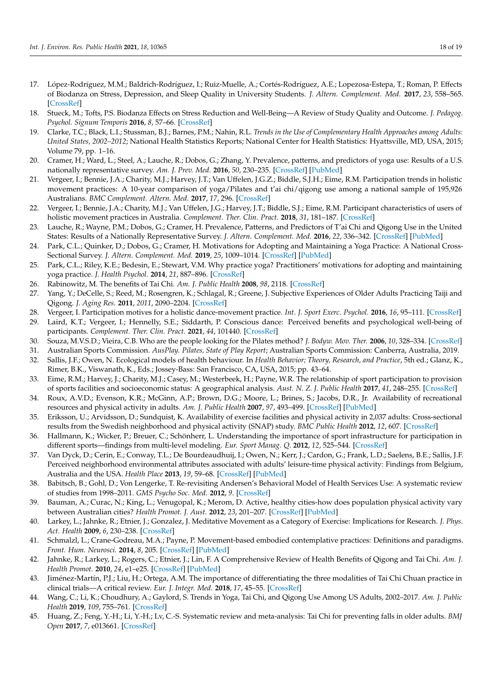- 17. López-Rodríguez, M.M.; Baldrich-Rodríguez, I.; Ruiz-Muelle, A.; Cortés-Rodríguez, A.E.; Lopezosa-Estepa, T.; Roman, P. Effects of Biodanza on Stress, Depression, and Sleep Quality in University Students. *J. Altern. Complement. Med.* **2017**, *23*, 558–565. [\[CrossRef\]](http://doi.org/10.1089/acm.2016.0365)
- <span id="page-17-0"></span>18. Stueck, M.; Tofts, P.S. Biodanza Effects on Stress Reduction and Well-Being—A Review of Study Quality and Outcome. *J. Pedagog. Psychol. Signum Temporis* **2016**, *8*, 57–66. [\[CrossRef\]](http://doi.org/10.1515/sigtem-2016-0018)
- <span id="page-17-1"></span>19. Clarke, T.C.; Black, L.I.; Stussman, B.J.; Barnes, P.M.; Nahin, R.L. *Trends in the Use of Complementary Health Approaches among Adults: United States, 2002–2012*; National Health Statistics Reports; National Center for Health Statistics: Hyattsville, MD, USA, 2015; Volume 79, pp. 1–16.
- <span id="page-17-2"></span>20. Cramer, H.; Ward, L.; Steel, A.; Lauche, R.; Dobos, G.; Zhang, Y. Prevalence, patterns, and predictors of yoga use: Results of a U.S. nationally representative survey. *Am. J. Prev. Med.* **2016**, *50*, 230–235. [\[CrossRef\]](http://doi.org/10.1016/j.amepre.2015.07.037) [\[PubMed\]](http://www.ncbi.nlm.nih.gov/pubmed/26497261)
- <span id="page-17-3"></span>21. Vergeer, I.; Bennie, J.A.; Charity, M.J.; Harvey, J.T.; Van Uffelen, J.G.Z.; Biddle, S.J.H.; Eime, R.M. Participation trends in holistic movement practices: A 10-year comparison of yoga/Pilates and t'ai chi/qigong use among a national sample of 195,926 Australians. *BMC Complement. Altern. Med.* **2017**, *17*, 296. [\[CrossRef\]](http://doi.org/10.1186/s12906-017-1800-6)
- <span id="page-17-4"></span>22. Vergeer, I.; Bennie, J.A.; Charity, M.J.; Van Uffelen, J.G.; Harvey, J.T.; Biddle, S.J.; Eime, R.M. Participant characteristics of users of holistic movement practices in Australia. *Complement. Ther. Clin. Pract.* **2018**, *31*, 181–187. [\[CrossRef\]](http://doi.org/10.1016/j.ctcp.2018.02.011)
- <span id="page-17-5"></span>23. Lauche, R.; Wayne, P.M.; Dobos, G.; Cramer, H. Prevalence, Patterns, and Predictors of T'ai Chi and Qigong Use in the United States: Results of a Nationally Representative Survey. *J. Altern. Complement. Med.* **2016**, *22*, 336–342. [\[CrossRef\]](http://doi.org/10.1089/acm.2015.0356) [\[PubMed\]](http://www.ncbi.nlm.nih.gov/pubmed/26981616)
- <span id="page-17-6"></span>24. Park, C.L.; Quinker, D.; Dobos, G.; Cramer, H. Motivations for Adopting and Maintaining a Yoga Practice: A National Cross-Sectional Survey. *J. Altern. Complement. Med.* **2019**, *25*, 1009–1014. [\[CrossRef\]](http://doi.org/10.1089/acm.2019.0232) [\[PubMed\]](http://www.ncbi.nlm.nih.gov/pubmed/31460773)
- 25. Park, C.L.; Riley, K.E.; Bedesin, E.; Stewart, V.M. Why practice yoga? Practitioners' motivations for adopting and maintaining yoga practice. *J. Health Psychol.* **2014**, *21*, 887–896. [\[CrossRef\]](http://doi.org/10.1177/1359105314541314)
- 26. Rabinowitz, M. The benefits of Tai Chi. *Am. J. Public Health* **2008**, *98*, 2118. [\[CrossRef\]](http://doi.org/10.2105/AJPH.2008.146837)
- <span id="page-17-7"></span>27. Yang, Y.; DeCelle, S.; Reed, M.; Rosengren, K.; Schlagal, R.; Greene, J. Subjective Experiences of Older Adults Practicing Taiji and Qigong. *J. Aging Res.* **2011**, *2011*, 2090–2204. [\[CrossRef\]](http://doi.org/10.4061/2011/650210)
- <span id="page-17-8"></span>28. Vergeer, I. Participation motives for a holistic dance-movement practice. *Int. J. Sport Exerc. Psychol.* **2016**, *16*, 95–111. [\[CrossRef\]](http://doi.org/10.1080/1612197X.2016.1167759)
- <span id="page-17-9"></span>29. Laird, K.T.; Vergeer, I.; Hennelly, S.E.; Siddarth, P. Conscious dance: Perceived benefits and psychological well-being of participants. *Complement. Ther. Clin. Pract.* **2021**, *44*, 101440. [\[CrossRef\]](http://doi.org/10.1016/j.ctcp.2021.101440)
- <span id="page-17-10"></span>30. Souza, M.V.S.D.; Vieira, C.B. Who are the people looking for the Pilates method? *J. Bodyw. Mov. Ther.* **2006**, *10*, 328–334. [\[CrossRef\]](http://doi.org/10.1016/j.jbmt.2005.10.005)
- <span id="page-17-11"></span>31. Australian Sports Commission. *AusPlay. Pilates, State of Play Report*; Australian Sports Commission: Canberra, Australia, 2019.
- <span id="page-17-12"></span>32. Sallis, J.F.; Owen, N. Ecological models of health behaviour. In *Health Behavior; Theory, Research, and Practice*, 5th ed.; Glanz, K., Rimer, B.K., Viswanath, K., Eds.; Jossey-Bass: San Francisco, CA, USA, 2015; pp. 43–64.
- <span id="page-17-13"></span>33. Eime, R.M.; Harvey, J.; Charity, M.J.; Casey, M.; Westerbeek, H.; Payne, W.R. The relationship of sport participation to provision of sports facilities and socioeconomic status: A geographical analysis. *Aust. N. Z. J. Public Health* **2017**, *41*, 248–255. [\[CrossRef\]](http://doi.org/10.1111/1753-6405.12647)
- 34. Roux, A.V.D.; Evenson, K.R.; McGinn, A.P.; Brown, D.G.; Moore, L.; Brines, S.; Jacobs, D.R., Jr. Availability of recreational resources and physical activity in adults. *Am. J. Public Health* **2007**, *97*, 493–499. [\[CrossRef\]](http://doi.org/10.2105/AJPH.2006.087734) [\[PubMed\]](http://www.ncbi.nlm.nih.gov/pubmed/17267710)
- 35. Eriksson, U.; Arvidsson, D.; Sundquist, K. Availability of exercise facilities and physical activity in 2,037 adults: Cross-sectional results from the Swedish neighborhood and physical activity (SNAP) study. *BMC Public Health* **2012**, *12*, 607. [\[CrossRef\]](http://doi.org/10.1186/1471-2458-12-607)
- <span id="page-17-14"></span>36. Hallmann, K.; Wicker, P.; Breuer, C.; Schönherr, L. Understanding the importance of sport infrastructure for participation in different sports—findings from multi-level modeling. *Eur. Sport Manag. Q.* **2012**, *12*, 525–544. [\[CrossRef\]](http://doi.org/10.1080/16184742.2012.687756)
- <span id="page-17-15"></span>37. Van Dyck, D.; Cerin, E.; Conway, T.L.; De Bourdeaudhuij, I.; Owen, N.; Kerr, J.; Cardon, G.; Frank, L.D.; Saelens, B.E.; Sallis, J.F. Perceived neighborhood environmental attributes associated with adults' leisure-time physical activity: Findings from Belgium, Australia and the USA. *Health Place* **2013**, *19*, 59–68. [\[CrossRef\]](http://doi.org/10.1016/j.healthplace.2012.09.017) [\[PubMed\]](http://www.ncbi.nlm.nih.gov/pubmed/23178650)
- <span id="page-17-16"></span>38. Babitsch, B.; Gohl, D.; Von Lengerke, T. Re-revisiting Andersen's Behavioral Model of Health Services Use: A systematic review of studies from 1998–2011. *GMS Psycho Soc. Med.* **2012**, *9*. [\[CrossRef\]](http://doi.org/10.3205/psm000089)
- <span id="page-17-17"></span>39. Bauman, A.; Curac, N.; King, L.; Venugopal, K.; Merom, D. Active, healthy cities-how does population physical activity vary between Australian cities? *Health Promot. J. Aust.* **2012**, *23*, 201–207. [\[CrossRef\]](http://doi.org/10.1071/HE12201) [\[PubMed\]](http://www.ncbi.nlm.nih.gov/pubmed/23540320)
- <span id="page-17-18"></span>40. Larkey, L.; Jahnke, R.; Etnier, J.; Gonzalez, J. Meditative Movement as a Category of Exercise: Implications for Research. *J. Phys. Act. Health* **2009**, *6*, 230–238. [\[CrossRef\]](http://doi.org/10.1123/jpah.6.2.230)
- <span id="page-17-19"></span>41. Schmalzl, L.; Crane-Godreau, M.A.; Payne, P. Movement-based embodied contemplative practices: Definitions and paradigms. *Front. Hum. Neurosci.* **2014**, *8*, 205. [\[CrossRef\]](http://doi.org/10.3389/fnhum.2014.00205) [\[PubMed\]](http://www.ncbi.nlm.nih.gov/pubmed/24782738)
- <span id="page-17-20"></span>42. Jahnke, R.; Larkey, L.; Rogers, C.; Etnier, J.; Lin, F. A Comprehensive Review of Health Benefits of Qigong and Tai Chi. *Am. J. Health Promot.* **2010**, *24*, e1–e25. [\[CrossRef\]](http://doi.org/10.4278/ajhp.081013-LIT-248) [\[PubMed\]](http://www.ncbi.nlm.nih.gov/pubmed/20594090)
- <span id="page-17-21"></span>43. Jiménez-Martín, P.J.; Liu, H.; Ortega, A.M. The importance of differentiating the three modalities of Tai Chi Chuan practice in clinical trials—A critical review. *Eur. J. Integr. Med.* **2018**, *17*, 45–55. [\[CrossRef\]](http://doi.org/10.1016/j.eujim.2017.11.007)
- <span id="page-17-22"></span>44. Wang, C.; Li, K.; Choudhury, A.; Gaylord, S. Trends in Yoga, Tai Chi, and Qigong Use Among US Adults, 2002–2017. *Am. J. Public Health* **2019**, *109*, 755–761. [\[CrossRef\]](http://doi.org/10.2105/AJPH.2019.304998)
- <span id="page-17-23"></span>45. Huang, Z.; Feng, Y.-H.; Li, Y.-H.; Lv, C.-S. Systematic review and meta-analysis: Tai Chi for preventing falls in older adults. *BMJ Open* **2017**, *7*, e013661. [\[CrossRef\]](http://doi.org/10.1136/bmjopen-2016-013661)